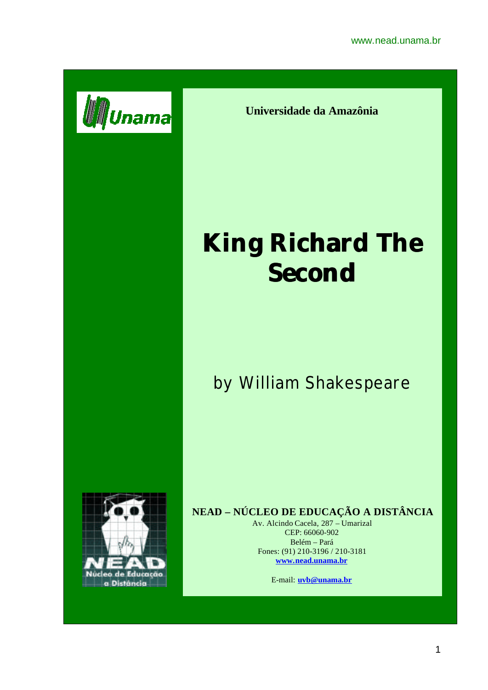

**Universidade da Amazônia**

# **King Richard The Second**

## by William Shakespeare



### **NEAD – NÚCLEO DE EDUCAÇÃO A DISTÂNCIA**

Av. Alcindo Cacela, 287 – Umarizal CEP: 66060-902 Belém – Pará Fones: (91) 210-3196 / 210-3181 **www.nead.unama.br**

E-mail: **uvb@unama.br**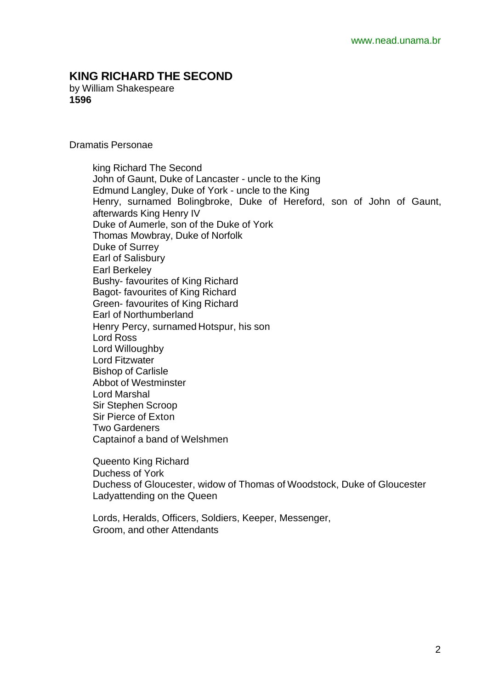#### **KING RICHARD THE SECOND**

by William Shakespeare **1596**

Dramatis Personae

king Richard The Second John of Gaunt, Duke of Lancaster - uncle to the King Edmund Langley, Duke of York - uncle to the King Henry, surnamed Bolingbroke, Duke of Hereford, son of John of Gaunt, afterwards King Henry IV Duke of Aumerle, son of the Duke of York Thomas Mowbray, Duke of Norfolk Duke of Surrey Earl of Salisbury Earl Berkeley Bushy- favourites of King Richard Bagot- favourites of King Richard Green- favourites of King Richard Earl of Northumberland Henry Percy, surnamed Hotspur, his son Lord Ross Lord Willoughby Lord Fitzwater Bishop of Carlisle Abbot of Westminster Lord Marshal Sir Stephen Scroop Sir Pierce of Exton Two Gardeners Captainof a band of Welshmen

Queento King Richard Duchess of York Duchess of Gloucester, widow of Thomas of Woodstock, Duke of Gloucester Ladyattending on the Queen

Lords, Heralds, Officers, Soldiers, Keeper, Messenger, Groom, and other Attendants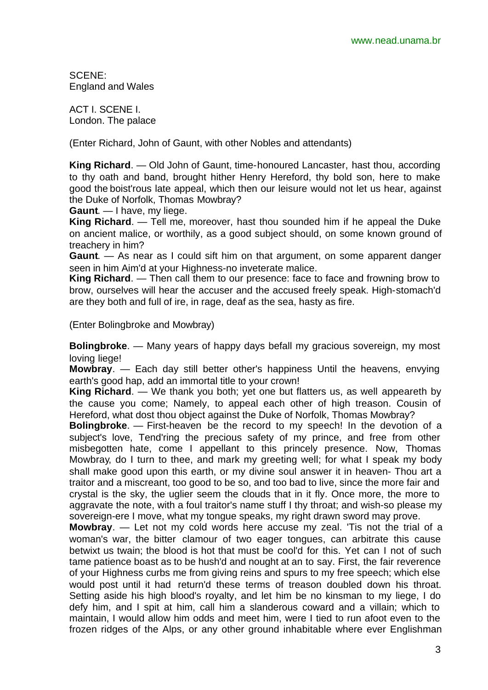SCENE: England and Wales

ACT I. SCENE I. London. The palace

(Enter Richard, John of Gaunt, with other Nobles and attendants)

**King Richard**. — Old John of Gaunt, time-honoured Lancaster, hast thou, according to thy oath and band, brought hither Henry Hereford, thy bold son, here to make good the boist'rous late appeal, which then our leisure would not let us hear, against the Duke of Norfolk, Thomas Mowbray?

**Gaunt**. — I have, my liege.

**King Richard**. — Tell me, moreover, hast thou sounded him if he appeal the Duke on ancient malice, or worthily, as a good subject should, on some known ground of treachery in him?

**Gaunt**. — As near as I could sift him on that argument, on some apparent danger seen in him Aim'd at your Highness-no inveterate malice.

**King Richard**. — Then call them to our presence: face to face and frowning brow to brow, ourselves will hear the accuser and the accused freely speak. High-stomach'd are they both and full of ire, in rage, deaf as the sea, hasty as fire.

(Enter Bolingbroke and Mowbray)

**Bolingbroke**. — Many years of happy days befall my gracious sovereign, my most loving liege!

**Mowbray**. — Each day still better other's happiness Until the heavens, envying earth's good hap, add an immortal title to your crown!

**King Richard**. — We thank you both; yet one but flatters us, as well appeareth by the cause you come; Namely, to appeal each other of high treason. Cousin of Hereford, what dost thou object against the Duke of Norfolk, Thomas Mowbray?

**Bolingbroke**. — First-heaven be the record to my speech! In the devotion of a subject's love, Tend'ring the precious safety of my prince, and free from other misbegotten hate, come I appellant to this princely presence. Now, Thomas Mowbray, do I turn to thee, and mark my greeting well; for what I speak my body shall make good upon this earth, or my divine soul answer it in heaven- Thou art a traitor and a miscreant, too good to be so, and too bad to live, since the more fair and crystal is the sky, the uglier seem the clouds that in it fly. Once more, the more to aggravate the note, with a foul traitor's name stuff I thy throat; and wish-so please my sovereign-ere I move, what my tongue speaks, my right drawn sword may prove.

**Mowbray**. — Let not my cold words here accuse my zeal. 'Tis not the trial of a woman's war, the bitter clamour of two eager tongues, can arbitrate this cause betwixt us twain; the blood is hot that must be cool'd for this. Yet can I not of such tame patience boast as to be hush'd and nought at an to say. First, the fair reverence of your Highness curbs me from giving reins and spurs to my free speech; which else would post until it had return'd these terms of treason doubled down his throat. Setting aside his high blood's royalty, and let him be no kinsman to my liege, I do defy him, and I spit at him, call him a slanderous coward and a villain; which to maintain, I would allow him odds and meet him, were I tied to run afoot even to the frozen ridges of the Alps, or any other ground inhabitable where ever Englishman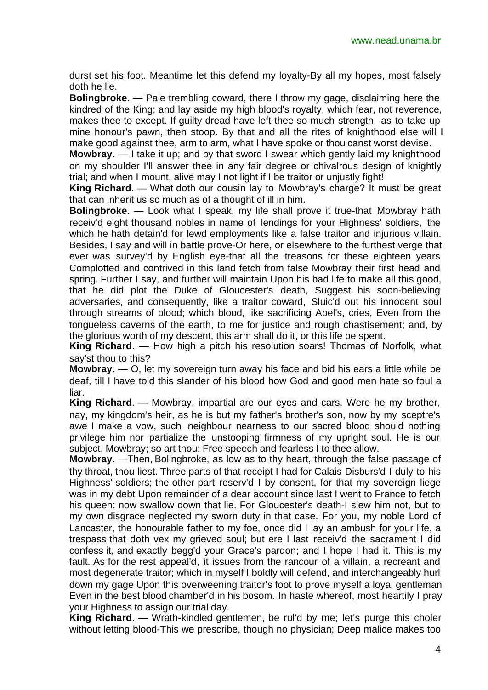durst set his foot. Meantime let this defend my loyalty-By all my hopes, most falsely doth he lie.

**Bolingbroke**. — Pale trembling coward, there I throw my gage, disclaiming here the kindred of the King; and lay aside my high blood's royalty, which fear, not reverence, makes thee to except. If guilty dread have left thee so much strength as to take up mine honour's pawn, then stoop. By that and all the rites of knighthood else will I make good against thee, arm to arm, what I have spoke or thou canst worst devise.

**Mowbray**. — I take it up; and by that sword I swear which gently laid my knighthood on my shoulder I'll answer thee in any fair degree or chivalrous design of knightly trial; and when I mount, alive may I not light if I be traitor or unjustly fight!

**King Richard**. — What doth our cousin lay to Mowbray's charge? It must be great that can inherit us so much as of a thought of ill in him.

**Bolingbroke**. — Look what I speak, my life shall prove it true-that Mowbray hath receiv'd eight thousand nobles in name of lendings for your Highness' soldiers, the which he hath detain'd for lewd employments like a false traitor and injurious villain. Besides, I say and will in battle prove-Or here, or elsewhere to the furthest verge that ever was survey'd by English eye-that all the treasons for these eighteen years Complotted and contrived in this land fetch from false Mowbray their first head and spring. Further I say, and further will maintain Upon his bad life to make all this good, that he did plot the Duke of Gloucester's death, Suggest his soon-believing adversaries, and consequently, like a traitor coward, Sluic'd out his innocent soul through streams of blood; which blood, like sacrificing Abel's, cries, Even from the tongueless caverns of the earth, to me for justice and rough chastisement; and, by the glorious worth of my descent, this arm shall do it, or this life be spent.

**King Richard**. — How high a pitch his resolution soars! Thomas of Norfolk, what say'st thou to this?

**Mowbray**. — O, let my sovereign turn away his face and bid his ears a little while be deaf, till I have told this slander of his blood how God and good men hate so foul a liar.

**King Richard**. — Mowbray, impartial are our eyes and cars. Were he my brother, nay, my kingdom's heir, as he is but my father's brother's son, now by my sceptre's awe I make a vow, such neighbour nearness to our sacred blood should nothing privilege him nor partialize the unstooping firmness of my upright soul. He is our subject, Mowbray; so art thou: Free speech and fearless I to thee allow.

**Mowbray**. —Then, Bolingbroke, as low as to thy heart, through the false passage of thy throat, thou liest. Three parts of that receipt I had for Calais Disburs'd I duly to his Highness' soldiers; the other part reserv'd I by consent, for that my sovereign liege was in my debt Upon remainder of a dear account since last I went to France to fetch his queen: now swallow down that lie. For Gloucester's death-I slew him not, but to my own disgrace neglected my sworn duty in that case. For you, my noble Lord of Lancaster, the honourable father to my foe, once did I lay an ambush for your life, a trespass that doth vex my grieved soul; but ere I last receiv'd the sacrament I did confess it, and exactly begg'd your Grace's pardon; and I hope I had it. This is my fault. As for the rest appeal'd, it issues from the rancour of a villain, a recreant and most degenerate traitor; which in myself I boldly will defend, and interchangeably hurl down my gage Upon this overweening traitor's foot to prove myself a loyal gentleman Even in the best blood chamber'd in his bosom. In haste whereof, most heartily I pray your Highness to assign our trial day.

**King Richard**. — Wrath-kindled gentlemen, be rul'd by me; let's purge this choler without letting blood-This we prescribe, though no physician; Deep malice makes too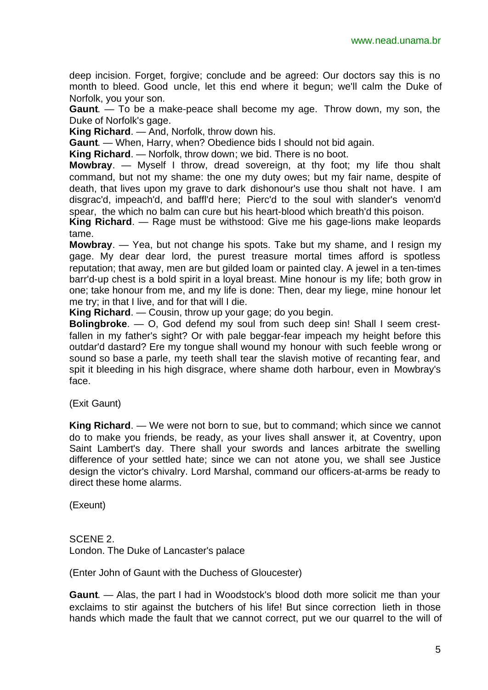deep incision. Forget, forgive; conclude and be agreed: Our doctors say this is no month to bleed. Good uncle, let this end where it begun; we'll calm the Duke of Norfolk, you your son.

**Gaunt**. — To be a make-peace shall become my age. Throw down, my son, the Duke of Norfolk's gage.

**King Richard**. — And, Norfolk, throw down his.

**Gaunt**. — When, Harry, when? Obedience bids I should not bid again.

**King Richard**. — Norfolk, throw down; we bid. There is no boot.

**Mowbray**. — Myself I throw, dread sovereign, at thy foot; my life thou shalt command, but not my shame: the one my duty owes; but my fair name, despite of death, that lives upon my grave to dark dishonour's use thou shalt not have. I am disgrac'd, impeach'd, and baffl'd here; Pierc'd to the soul with slander's venom'd spear, the which no balm can cure but his heart-blood which breath'd this poison.

**King Richard**. — Rage must be withstood: Give me his gage-lions make leopards tame.

**Mowbray**. — Yea, but not change his spots. Take but my shame, and I resign my gage. My dear dear lord, the purest treasure mortal times afford is spotless reputation; that away, men are but gilded loam or painted clay. A jewel in a ten-times barr'd-up chest is a bold spirit in a loyal breast. Mine honour is my life; both grow in one; take honour from me, and my life is done: Then, dear my liege, mine honour let me try; in that I live, and for that will I die.

**King Richard**. — Cousin, throw up your gage; do you begin.

**Bolingbroke**. — O, God defend my soul from such deep sin! Shall I seem crestfallen in my father's sight? Or with pale beggar-fear impeach my height before this outdar'd dastard? Ere my tongue shall wound my honour with such feeble wrong or sound so base a parle, my teeth shall tear the slavish motive of recanting fear, and spit it bleeding in his high disgrace, where shame doth harbour, even in Mowbray's face.

(Exit Gaunt)

**King Richard**. — We were not born to sue, but to command; which since we cannot do to make you friends, be ready, as your lives shall answer it, at Coventry, upon Saint Lambert's day. There shall your swords and lances arbitrate the swelling difference of your settled hate; since we can not atone you, we shall see Justice design the victor's chivalry. Lord Marshal, command our officers-at-arms be ready to direct these home alarms.

(Exeunt)

SCENE 2. London. The Duke of Lancaster's palace

(Enter John of Gaunt with the Duchess of Gloucester)

**Gaunt**. — Alas, the part I had in Woodstock's blood doth more solicit me than your exclaims to stir against the butchers of his life! But since correction lieth in those hands which made the fault that we cannot correct, put we our quarrel to the will of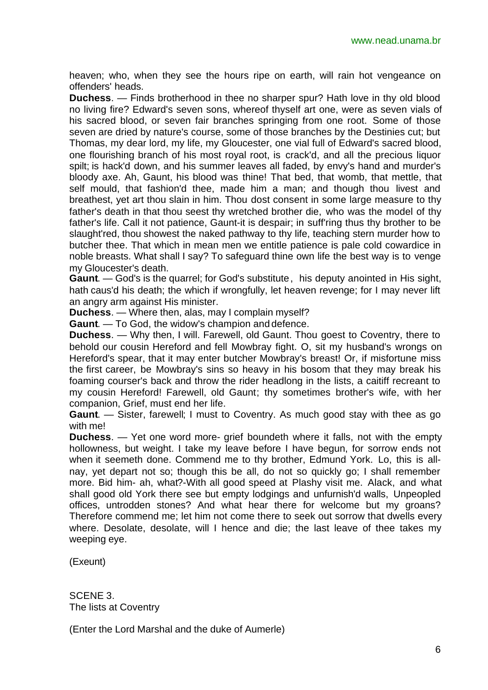heaven; who, when they see the hours ripe on earth, will rain hot vengeance on offenders' heads.

**Duchess**. — Finds brotherhood in thee no sharper spur? Hath love in thy old blood no living fire? Edward's seven sons, whereof thyself art one, were as seven vials of his sacred blood, or seven fair branches springing from one root. Some of those seven are dried by nature's course, some of those branches by the Destinies cut; but Thomas, my dear lord, my life, my Gloucester, one vial full of Edward's sacred blood, one flourishing branch of his most royal root, is crack'd, and all the precious liquor spilt; is hack'd down, and his summer leaves all faded, by envy's hand and murder's bloody axe. Ah, Gaunt, his blood was thine! That bed, that womb, that mettle, that self mould, that fashion'd thee, made him a man; and though thou livest and breathest, yet art thou slain in him. Thou dost consent in some large measure to thy father's death in that thou seest thy wretched brother die, who was the model of thy father's life. Call it not patience, Gaunt-it is despair; in suff'ring thus thy brother to be slaught'red, thou showest the naked pathway to thy life, teaching stern murder how to butcher thee. That which in mean men we entitle patience is pale cold cowardice in noble breasts. What shall I say? To safeguard thine own life the best way is to venge my Gloucester's death.

**Gaunt**. — God's is the quarrel; for God's substitute, his deputy anointed in His sight, hath caus'd his death; the which if wrongfully, let heaven revenge; for I may never lift an angry arm against His minister.

**Duchess**. — Where then, alas, may I complain myself?

**Gaunt**. — To God, the widow's champion and defence.

**Duchess**. — Why then, I will. Farewell, old Gaunt. Thou goest to Coventry, there to behold our cousin Hereford and fell Mowbray fight. O, sit my husband's wrongs on Hereford's spear, that it may enter butcher Mowbray's breast! Or, if misfortune miss the first career, be Mowbray's sins so heavy in his bosom that they may break his foaming courser's back and throw the rider headlong in the lists, a caitiff recreant to my cousin Hereford! Farewell, old Gaunt; thy sometimes brother's wife, with her companion, Grief, must end her life.

**Gaunt**. — Sister, farewell; I must to Coventry. As much good stay with thee as go with me!

**Duchess**. — Yet one word more- grief boundeth where it falls, not with the empty hollowness, but weight. I take my leave before I have begun, for sorrow ends not when it seemeth done. Commend me to thy brother, Edmund York. Lo, this is allnay, yet depart not so; though this be all, do not so quickly go; I shall remember more. Bid him- ah, what?-With all good speed at Plashy visit me. Alack, and what shall good old York there see but empty lodgings and unfurnish'd walls, Unpeopled offices, untrodden stones? And what hear there for welcome but my groans? Therefore commend me; let him not come there to seek out sorrow that dwells every where. Desolate, desolate, will I hence and die; the last leave of thee takes my weeping eye.

(Exeunt)

SCENE 3. The lists at Coventry

(Enter the Lord Marshal and the duke of Aumerle)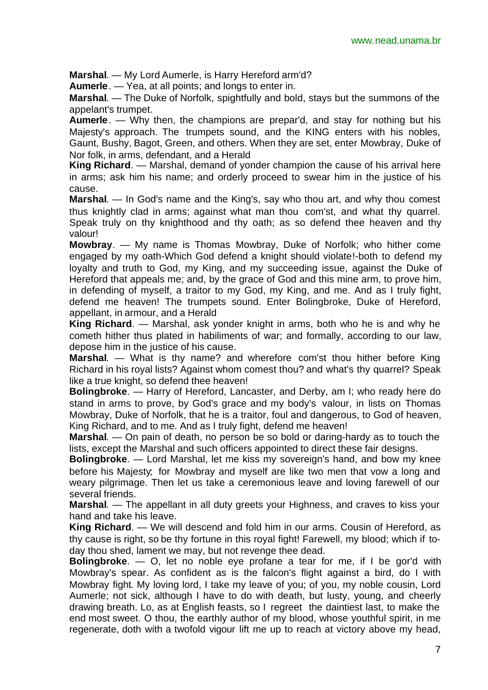**Marshal**. — My Lord Aumerle, is Harry Hereford arm'd?

**Aumerle**. — Yea, at all points; and longs to enter in.

**Marshal**. — The Duke of Norfolk, spightfully and bold, stays but the summons of the appelant's trumpet.

**Aumerle**. — Why then, the champions are prepar'd, and stay for nothing but his Majesty's approach. The trumpets sound, and the KING enters with his nobles, Gaunt, Bushy, Bagot, Green, and others. When they are set, enter Mowbray, Duke of Nor folk, in arms, defendant, and a Herald

**King Richard**. — Marshal, demand of yonder champion the cause of his arrival here in arms; ask him his name; and orderly proceed to swear him in the justice of his cause.

**Marshal**. — In God's name and the King's, say who thou art, and why thou comest thus knightly clad in arms; against what man thou com'st, and what thy quarrel. Speak truly on thy knighthood and thy oath; as so defend thee heaven and thy valour!

**Mowbray**. — My name is Thomas Mowbray, Duke of Norfolk; who hither come engaged by my oath-Which God defend a knight should violate!-both to defend my loyalty and truth to God, my King, and my succeeding issue, against the Duke of Hereford that appeals me; and, by the grace of God and this mine arm, to prove him, in defending of myself, a traitor to my God, my King, and me. And as I truly fight, defend me heaven! The trumpets sound. Enter Bolingbroke, Duke of Hereford, appellant, in armour, and a Herald

**King Richard**. — Marshal, ask yonder knight in arms, both who he is and why he cometh hither thus plated in habiliments of war; and formally, according to our law, depose him in the justice of his cause.

**Marshal**. — What is thy name? and wherefore com'st thou hither before King Richard in his royal lists? Against whom comest thou? and what's thy quarrel? Speak like a true knight, so defend thee heaven!

**Bolingbroke**. — Harry of Hereford, Lancaster, and Derby, am I; who ready here do stand in arms to prove, by God's grace and my body's valour, in lists on Thomas Mowbray, Duke of Norfolk, that he is a traitor, foul and dangerous, to God of heaven, King Richard, and to me. And as I truly fight, defend me heaven!

**Marshal**. — On pain of death, no person be so bold or daring-hardy as to touch the lists, except the Marshal and such officers appointed to direct these fair designs.

**Bolingbroke**. — Lord Marshal, let me kiss my sovereign's hand, and bow my knee before his Majesty; for Mowbray and myself are like two men that vow a long and weary pilgrimage. Then let us take a ceremonious leave and loving farewell of our several friends.

**Marshal**. — The appellant in all duty greets your Highness, and craves to kiss your hand and take his leave.

**King Richard**. — We will descend and fold him in our arms. Cousin of Hereford, as thy cause is right, so be thy fortune in this royal fight! Farewell, my blood; which if today thou shed, lament we may, but not revenge thee dead.

**Bolingbroke**. — O, let no noble eye profane a tear for me, if I be gor'd with Mowbray's spear. As confident as is the falcon's flight against a bird, do I with Mowbray fight. My loving lord, I take my leave of you; of you, my noble cousin, Lord Aumerle; not sick, although I have to do with death, but lusty, young, and cheerly drawing breath. Lo, as at English feasts, so I regreet the daintiest last, to make the end most sweet. O thou, the earthly author of my blood, whose youthful spirit, in me regenerate, doth with a twofold vigour lift me up to reach at victory above my head,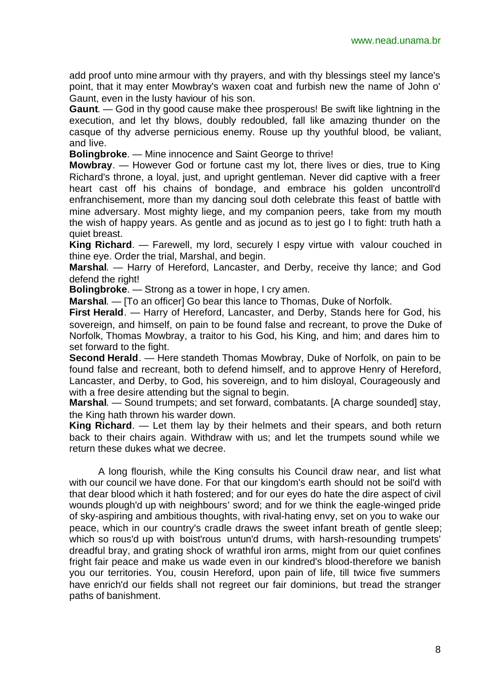add proof unto mine armour with thy prayers, and with thy blessings steel my lance's point, that it may enter Mowbray's waxen coat and furbish new the name of John o' Gaunt, even in the lusty haviour of his son.

**Gaunt**. — God in thy good cause make thee prosperous! Be swift like lightning in the execution, and let thy blows, doubly redoubled, fall like amazing thunder on the casque of thy adverse pernicious enemy. Rouse up thy youthful blood, be valiant, and live.

**Bolingbroke**. — Mine innocence and Saint George to thrive!

**Mowbray**. — However God or fortune cast my lot, there lives or dies, true to King Richard's throne, a loyal, just, and upright gentleman. Never did captive with a freer heart cast off his chains of bondage, and embrace his golden uncontroll'd enfranchisement, more than my dancing soul doth celebrate this feast of battle with mine adversary. Most mighty liege, and my companion peers, take from my mouth the wish of happy years. As gentle and as jocund as to jest go I to fight: truth hath a quiet breast.

**King Richard**. — Farewell, my lord, securely I espy virtue with valour couched in thine eye. Order the trial, Marshal, and begin.

**Marshal**. — Harry of Hereford, Lancaster, and Derby, receive thy lance; and God defend the right!

**Bolingbroke**. — Strong as a tower in hope, I cry amen.

**Marshal**. — [To an officer] Go bear this lance to Thomas, Duke of Norfolk.

**First Herald**. — Harry of Hereford, Lancaster, and Derby, Stands here for God, his sovereign, and himself, on pain to be found false and recreant, to prove the Duke of Norfolk, Thomas Mowbray, a traitor to his God, his King, and him; and dares him to set forward to the fight.

**Second Herald**. — Here standeth Thomas Mowbray, Duke of Norfolk, on pain to be found false and recreant, both to defend himself, and to approve Henry of Hereford, Lancaster, and Derby, to God, his sovereign, and to him disloyal, Courageously and with a free desire attending but the signal to begin.

**Marshal**. — Sound trumpets; and set forward, combatants. [A charge sounded] stay, the King hath thrown his warder down.

**King Richard**. — Let them lay by their helmets and their spears, and both return back to their chairs again. Withdraw with us; and let the trumpets sound while we return these dukes what we decree.

A long flourish, while the King consults his Council draw near, and list what with our council we have done. For that our kingdom's earth should not be soil'd with that dear blood which it hath fostered; and for our eyes do hate the dire aspect of civil wounds plough'd up with neighbours' sword; and for we think the eagle-winged pride of sky-aspiring and ambitious thoughts, with rival-hating envy, set on you to wake our peace, which in our country's cradle draws the sweet infant breath of gentle sleep; which so rous'd up with boist'rous untun'd drums, with harsh-resounding trumpets' dreadful bray, and grating shock of wrathful iron arms, might from our quiet confines fright fair peace and make us wade even in our kindred's blood-therefore we banish you our territories. You, cousin Hereford, upon pain of life, till twice five summers have enrich'd our fields shall not regreet our fair dominions, but tread the stranger paths of banishment.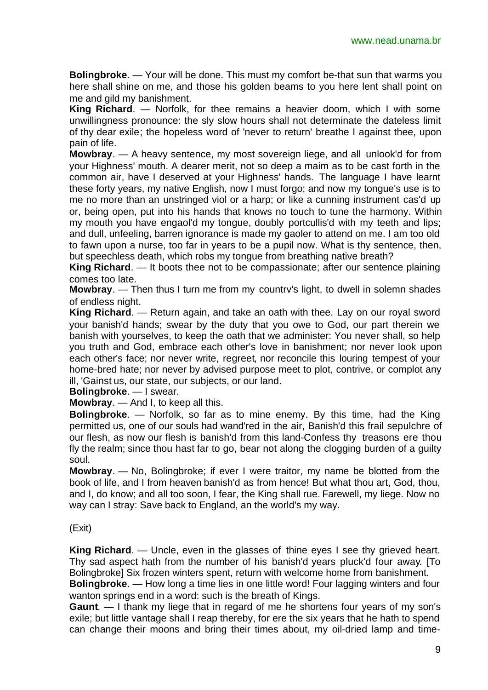**Bolingbroke**. — Your will be done. This must my comfort be-that sun that warms you here shall shine on me, and those his golden beams to you here lent shall point on me and gild my banishment.

**King Richard**. — Norfolk, for thee remains a heavier doom, which I with some unwillingness pronounce: the sly slow hours shall not determinate the dateless limit of thy dear exile; the hopeless word of 'never to return' breathe I against thee, upon pain of life.

**Mowbray**. — A heavy sentence, my most sovereign liege, and all unlook'd for from your Highness' mouth. A dearer merit, not so deep a maim as to be cast forth in the common air, have I deserved at your Highness' hands. The language I have learnt these forty years, my native English, now I must forgo; and now my tongue's use is to me no more than an unstringed viol or a harp; or like a cunning instrument cas'd up or, being open, put into his hands that knows no touch to tune the harmony. Within my mouth you have engaol'd my tongue, doubly portcullis'd with my teeth and lips; and dull, unfeeling, barren ignorance is made my gaoler to attend on me. I am too old to fawn upon a nurse, too far in years to be a pupil now. What is thy sentence, then, but speechless death, which robs my tongue from breathing native breath?

**King Richard**. — It boots thee not to be compassionate; after our sentence plaining comes too late.

**Mowbray**. — Then thus I turn me from my countrv's light, to dwell in solemn shades of endless night.

**King Richard**. — Return again, and take an oath with thee. Lay on our royal sword your banish'd hands; swear by the duty that you owe to God, our part therein we banish with yourselves, to keep the oath that we administer: You never shall, so help you truth and God, embrace each other's love in banishment; nor never look upon each other's face; nor never write, regreet, nor reconcile this louring tempest of your home-bred hate; nor never by advised purpose meet to plot, contrive, or complot any ill, 'Gainst us, our state, our subjects, or our land.

**Bolingbroke**. — I swear.

**Mowbray**. — And I, to keep all this.

**Bolingbroke**. — Norfolk, so far as to mine enemy. By this time, had the King permitted us, one of our souls had wand'red in the air, Banish'd this frail sepulchre of our flesh, as now our flesh is banish'd from this land-Confess thy treasons ere thou fly the realm; since thou hast far to go, bear not along the clogging burden of a guilty soul.

**Mowbray**. — No, Bolingbroke; if ever I were traitor, my name be blotted from the book of life, and I from heaven banish'd as from hence! But what thou art, God, thou, and I, do know; and all too soon, I fear, the King shall rue. Farewell, my liege. Now no way can I stray: Save back to England, an the world's my way.

#### (Exit)

**King Richard**. — Uncle, even in the glasses of thine eyes I see thy grieved heart. Thy sad aspect hath from the number of his banish'd years pluck'd four away. [To Bolingbroke] Six frozen winters spent, return with welcome home from banishment.

**Bolingbroke**. — How long a time lies in one little word! Four lagging winters and four wanton springs end in a word: such is the breath of Kings.

**Gaunt**. — I thank my liege that in regard of me he shortens four years of my son's exile; but little vantage shall I reap thereby, for ere the six years that he hath to spend can change their moons and bring their times about, my oil-dried lamp and time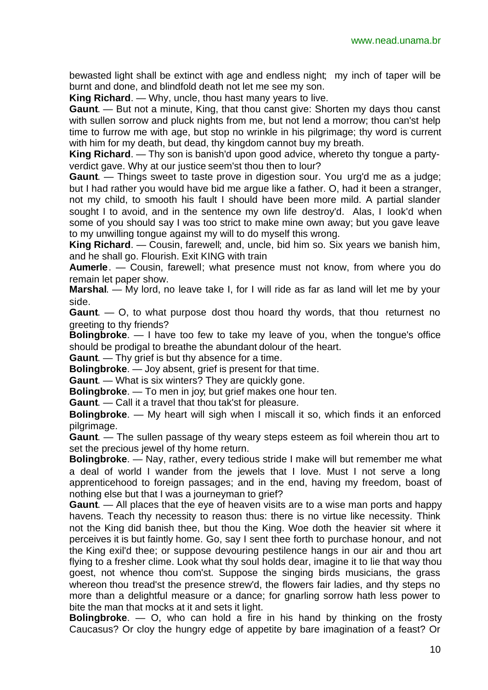bewasted light shall be extinct with age and endless night; my inch of taper will be burnt and done, and blindfold death not let me see my son.

**King Richard**. — Why, uncle, thou hast many years to live.

**Gaunt**. — But not a minute, King, that thou canst give: Shorten my days thou canst with sullen sorrow and pluck nights from me, but not lend a morrow; thou can'st help time to furrow me with age, but stop no wrinkle in his pilgrimage; thy word is current with him for my death, but dead, thy kingdom cannot buy my breath.

**King Richard**. — Thy son is banish'd upon good advice, whereto thy tongue a partyverdict gave. Why at our justice seem'st thou then to lour?

**Gaunt**. — Things sweet to taste prove in digestion sour. You urg'd me as a judge; but I had rather you would have bid me argue like a father. O, had it been a stranger, not my child, to smooth his fault I should have been more mild. A partial slander sought I to avoid, and in the sentence my own life destroy'd. Alas, I look'd when some of you should say I was too strict to make mine own away; but you gave leave to my unwilling tongue against my will to do myself this wrong.

**King Richard**. — Cousin, farewell; and, uncle, bid him so. Six years we banish him, and he shall go. Flourish. Exit KING with train

**Aumerle**. — Cousin, farewell; what presence must not know, from where you do remain let paper show.

**Marshal**. — My lord, no leave take I, for I will ride as far as land will let me by your side.

**Gaunt**. — O, to what purpose dost thou hoard thy words, that thou returnest no greeting to thy friends?

**Bolingbroke**. — I have too few to take my leave of you, when the tongue's office should be prodigal to breathe the abundant dolour of the heart.

**Gaunt**. — Thy grief is but thy absence for a time.

**Bolingbroke**. — Joy absent, grief is present for that time.

**Gaunt**. — What is six winters? They are quickly gone.

**Bolingbroke**. — To men in joy; but grief makes one hour ten.

**Gaunt**. — Call it a travel that thou tak'st for pleasure.

**Bolingbroke**. — My heart will sigh when I miscall it so, which finds it an enforced pilgrimage.

**Gaunt**. — The sullen passage of thy weary steps esteem as foil wherein thou art to set the precious jewel of thy home return.

**Bolingbroke**. — Nay, rather, every tedious stride I make will but remember me what a deal of world I wander from the jewels that I love. Must I not serve a long apprenticehood to foreign passages; and in the end, having my freedom, boast of nothing else but that I was a journeyman to grief?

**Gaunt**. — All places that the eye of heaven visits are to a wise man ports and happy havens. Teach thy necessity to reason thus: there is no virtue like necessity. Think not the King did banish thee, but thou the King. Woe doth the heavier sit where it perceives it is but faintly home. Go, say I sent thee forth to purchase honour, and not the King exil'd thee; or suppose devouring pestilence hangs in our air and thou art flying to a fresher clime. Look what thy soul holds dear, imagine it to lie that way thou goest, not whence thou com'st. Suppose the singing birds musicians, the grass whereon thou tread'st the presence strew'd, the flowers fair ladies, and thy steps no more than a delightful measure or a dance; for gnarling sorrow hath less power to bite the man that mocks at it and sets it light.

**Bolingbroke**. — O, who can hold a fire in his hand by thinking on the frosty Caucasus? Or cloy the hungry edge of appetite by bare imagination of a feast? Or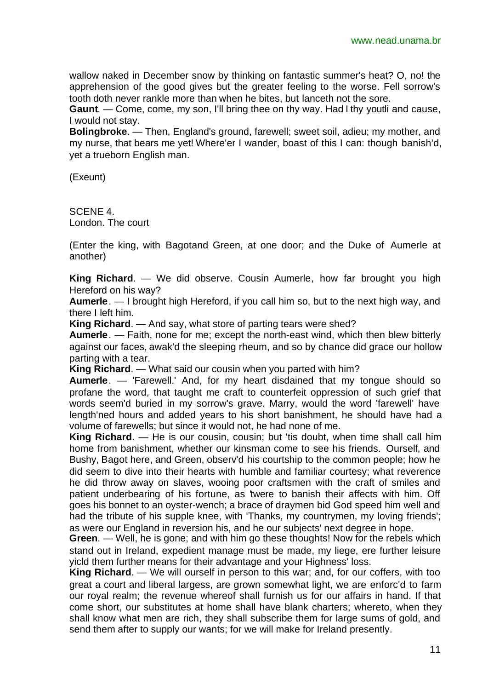wallow naked in December snow by thinking on fantastic summer's heat? O, no! the apprehension of the good gives but the greater feeling to the worse. Fell sorrow's tooth doth never rankle more than when he bites, but lanceth not the sore.

**Gaunt**. — Come, come, my son, I'll bring thee on thy way. Had I thy youtli and cause, I would not stay.

**Bolingbroke**. — Then, England's ground, farewell; sweet soil, adieu; my mother, and my nurse, that bears me yet! Where'er I wander, boast of this I can: though banish'd, yet a trueborn English man.

(Exeunt)

SCENE 4. London. The court

(Enter the king, with Bagotand Green, at one door; and the Duke of Aumerle at another)

**King Richard**. — We did observe. Cousin Aumerle, how far brought you high Hereford on his way?

**Aumerle**. — I brought high Hereford, if you call him so, but to the next high way, and there I left him.

**King Richard**. — And say, what store of parting tears were shed?

**Aumerle**. — Faith, none for me; except the north-east wind, which then blew bitterly against our faces, awak'd the sleeping rheum, and so by chance did grace our hollow parting with a tear.

**King Richard**. — What said our cousin when you parted with him?

**Aumerle**. — 'Farewell.' And, for my heart disdained that my tongue should so profane the word, that taught me craft to counterfeit oppression of such grief that words seem'd buried in my sorrow's grave. Marry, would the word 'farewell' have length'ned hours and added years to his short banishment, he should have had a volume of farewells; but since it would not, he had none of me.

**King Richard**. — He is our cousin, cousin; but 'tis doubt, when time shall call him home from banishment, whether our kinsman come to see his friends. Ourself, and Bushy, Bagot here, and Green, observ'd his courtship to the common people; how he did seem to dive into their hearts with humble and familiar courtesy; what reverence he did throw away on slaves, wooing poor craftsmen with the craft of smiles and patient underbearing of his fortune, as 'twere to banish their affects with him. Off goes his bonnet to an oyster-wench; a brace of draymen bid God speed him well and had the tribute of his supple knee, with 'Thanks, my countrymen, my loving friends'; as were our England in reversion his, and he our subjects' next degree in hope.

**Green**. — Well, he is gone; and with him go these thoughts! Now for the rebels which stand out in Ireland, expedient manage must be made, my liege, ere further leisure yicld them further means for their advantage and your Highness' loss.

**King Richard**. — We will ourself in person to this war; and, for our coffers, with too great a court and liberal largess, are grown somewhat light, we are enforc'd to farm our royal realm; the revenue whereof shall furnish us for our affairs in hand. If that come short, our substitutes at home shall have blank charters; whereto, when they shall know what men are rich, they shall subscribe them for large sums of gold, and send them after to supply our wants; for we will make for Ireland presently.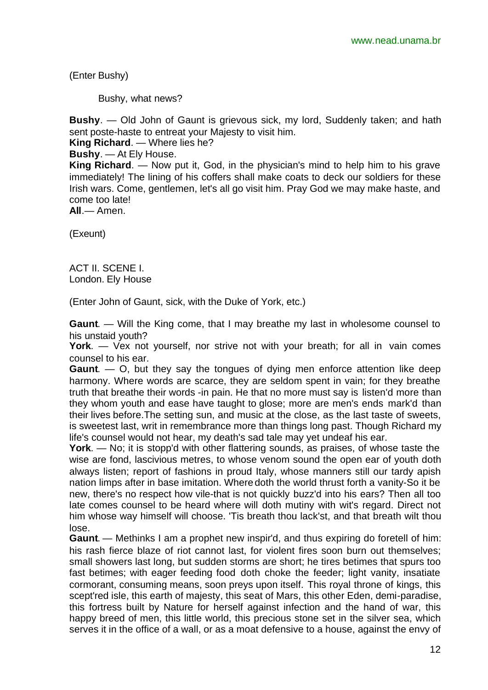(Enter Bushy)

Bushy, what news?

**Bushy**. — Old John of Gaunt is grievous sick, my lord, Suddenly taken; and hath sent poste-haste to entreat your Majesty to visit him.

**King Richard**. — Where lies he?

**Bushy**. — At Ely House.

**King Richard**. — Now put it, God, in the physician's mind to help him to his grave immediately! The lining of his coffers shall make coats to deck our soldiers for these Irish wars. Come, gentlemen, let's all go visit him. Pray God we may make haste, and come too late!

**All**.— Amen.

(Exeunt)

ACT II. SCENE I. London. Ely House

(Enter John of Gaunt, sick, with the Duke of York, etc.)

**Gaunt**. — Will the King come, that I may breathe my last in wholesome counsel to his unstaid youth?

**York**. — Vex not yourself, nor strive not with your breath; for all in vain comes counsel to his ear.

**Gaunt**. — O, but they say the tongues of dying men enforce attention like deep harmony. Where words are scarce, they are seldom spent in vain; for they breathe truth that breathe their words -in pain. He that no more must say is listen'd more than they whom youth and ease have taught to glose; more are men's ends mark'd than their lives before.The setting sun, and music at the close, as the last taste of sweets, is sweetest last, writ in remembrance more than things long past. Though Richard my life's counsel would not hear, my death's sad tale may yet undeaf his ear.

**York**. — No; it is stopp'd with other flattering sounds, as praises, of whose taste the wise are fond, lascivious metres, to whose venom sound the open ear of youth doth always listen; report of fashions in proud Italy, whose manners still our tardy apish nation limps after in base imitation. Where doth the world thrust forth a vanity-So it be new, there's no respect how vile-that is not quickly buzz'd into his ears? Then all too late comes counsel to be heard where will doth mutiny with wit's regard. Direct not him whose way himself will choose. 'Tis breath thou lack'st, and that breath wilt thou lose.

**Gaunt**. — Methinks I am a prophet new inspir'd, and thus expiring do foretell of him: his rash fierce blaze of riot cannot last, for violent fires soon burn out themselves; small showers last long, but sudden storms are short; he tires betimes that spurs too fast betimes; with eager feeding food doth choke the feeder; light vanity, insatiate cormorant, consuming means, soon preys upon itself. This royal throne of kings, this scept'red isle, this earth of majesty, this seat of Mars, this other Eden, demi-paradise, this fortress built by Nature for herself against infection and the hand of war, this happy breed of men, this little world, this precious stone set in the silver sea, which serves it in the office of a wall, or as a moat defensive to a house, against the envy of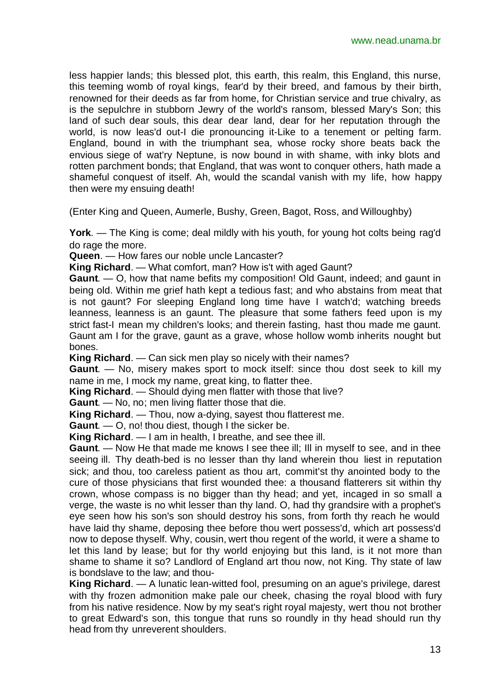less happier lands; this blessed plot, this earth, this realm, this England, this nurse, this teeming womb of royal kings, fear'd by their breed, and famous by their birth, renowned for their deeds as far from home, for Christian service and true chivalry, as is the sepulchre in stubborn Jewry of the world's ransom, blessed Mary's Son; this land of such dear souls, this dear dear land, dear for her reputation through the world, is now leas'd out-I die pronouncing it-Like to a tenement or pelting farm. England, bound in with the triumphant sea, whose rocky shore beats back the envious siege of wat'ry Neptune, is now bound in with shame, with inky blots and rotten parchment bonds; that England, that was wont to conquer others, hath made a shameful conquest of itself. Ah, would the scandal vanish with my life, how happy then were my ensuing death!

(Enter King and Queen, Aumerle, Bushy, Green, Bagot, Ross, and Willoughby)

**York**. — The King is come; deal mildly with his youth, for young hot colts being rag'd do rage the more.

**Queen**. — How fares our noble uncle Lancaster?

**King Richard**. — What comfort, man? How is't with aged Gaunt?

**Gaunt**. — O, how that name befits my composition! Old Gaunt, indeed; and gaunt in being old. Within me grief hath kept a tedious fast; and who abstains from meat that is not gaunt? For sleeping England long time have I watch'd; watching breeds leanness, leanness is an gaunt. The pleasure that some fathers feed upon is my strict fast-I mean my children's looks; and therein fasting, hast thou made me gaunt. Gaunt am I for the grave, gaunt as a grave, whose hollow womb inherits nought but bones.

**King Richard**. — Can sick men play so nicely with their names?

**Gaunt**. — No, misery makes sport to mock itself: since thou dost seek to kill my name in me, I mock my name, great king, to flatter thee.

**King Richard**. — Should dying men flatter with those that live?

**Gaunt**. — No, no; men living flatter those that die.

**King Richard**. — Thou, now a-dying, sayest thou flatterest me.

**Gaunt**. — O, no! thou diest, though I the sicker be.

**King Richard**. — I am in health, I breathe, and see thee ill.

**Gaunt**. — Now He that made me knows I see thee ill; Ill in myself to see, and in thee seeing ill. Thy death-bed is no lesser than thy land wherein thou liest in reputation sick; and thou, too careless patient as thou art, commit'st thy anointed body to the cure of those physicians that first wounded thee: a thousand flatterers sit within thy crown, whose compass is no bigger than thy head; and yet, incaged in so small a verge, the waste is no whit lesser than thy land. O, had thy grandsire with a prophet's eye seen how his son's son should destroy his sons, from forth thy reach he would have laid thy shame, deposing thee before thou wert possess'd, which art possess'd now to depose thyself. Why, cousin, wert thou regent of the world, it were a shame to let this land by lease; but for thy world enjoying but this land, is it not more than shame to shame it so? Landlord of England art thou now, not King. Thy state of law is bondslave to the law; and thou-

**King Richard**. — A lunatic lean-witted fool, presuming on an ague's privilege, darest with thy frozen admonition make pale our cheek, chasing the royal blood with fury from his native residence. Now by my seat's right royal majesty, wert thou not brother to great Edward's son, this tongue that runs so roundly in thy head should run thy head from thy unreverent shoulders.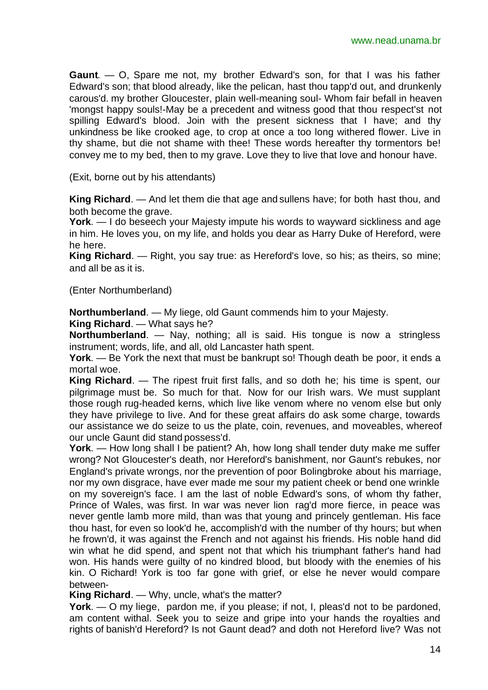**Gaunt**. — O, Spare me not, my brother Edward's son, for that I was his father Edward's son; that blood already, like the pelican, hast thou tapp'd out, and drunkenly carous'd. my brother Gloucester, plain well-meaning soul- Whom fair befall in heaven 'mongst happy souls!-May be a precedent and witness good that thou respect'st not spilling Edward's blood. Join with the present sickness that I have; and thy unkindness be like crooked age, to crop at once a too long withered flower. Live in thy shame, but die not shame with thee! These words hereafter thy tormentors be! convey me to my bed, then to my grave. Love they to live that love and honour have.

(Exit, borne out by his attendants)

**King Richard**. — And let them die that age and sullens have; for both hast thou, and both become the grave.

**York**. — I do beseech your Majesty impute his words to wayward sickliness and age in him. He loves you, on my life, and holds you dear as Harry Duke of Hereford, were he here.

**King Richard**. — Right, you say true: as Hereford's love, so his; as theirs, so mine; and all be as it is.

(Enter Northumberland)

**Northumberland**. — My liege, old Gaunt commends him to your Majesty.

**King Richard**. — What says he?

**Northumberland**. — Nay, nothing; all is said. His tongue is now a stringless instrument; words, life, and all, old Lancaster hath spent.

**York**. — Be York the next that must be bankrupt so! Though death be poor, it ends a mortal woe.

**King Richard**. — The ripest fruit first falls, and so doth he; his time is spent, our pilgrimage must be. So much for that. Now for our Irish wars. We must supplant those rough rug-headed kerns, which live like venom where no venom else but only they have privilege to live. And for these great affairs do ask some charge, towards our assistance we do seize to us the plate, coin, revenues, and moveables, whereof our uncle Gaunt did stand possess'd.

**York**. — How long shall I be patient? Ah, how long shall tender duty make me suffer wrong? Not Gloucester's death, nor Hereford's banishment, nor Gaunt's rebukes, nor England's private wrongs, nor the prevention of poor Bolingbroke about his marriage, nor my own disgrace, have ever made me sour my patient cheek or bend one wrinkle on my sovereign's face. I am the last of noble Edward's sons, of whom thy father, Prince of Wales, was first. In war was never lion rag'd more fierce, in peace was never gentle lamb more mild, than was that young and princely gentleman. His face thou hast, for even so look'd he, accomplish'd with the number of thy hours; but when he frown'd, it was against the French and not against his friends. His noble hand did win what he did spend, and spent not that which his triumphant father's hand had won. His hands were guilty of no kindred blood, but bloody with the enemies of his kin. O Richard! York is too far gone with grief, or else he never would compare between-

**King Richard**. — Why, uncle, what's the matter?

**York**. — O my liege, pardon me, if you please; if not, I, pleas'd not to be pardoned, am content withal. Seek you to seize and gripe into your hands the royalties and rights of banish'd Hereford? Is not Gaunt dead? and doth not Hereford live? Was not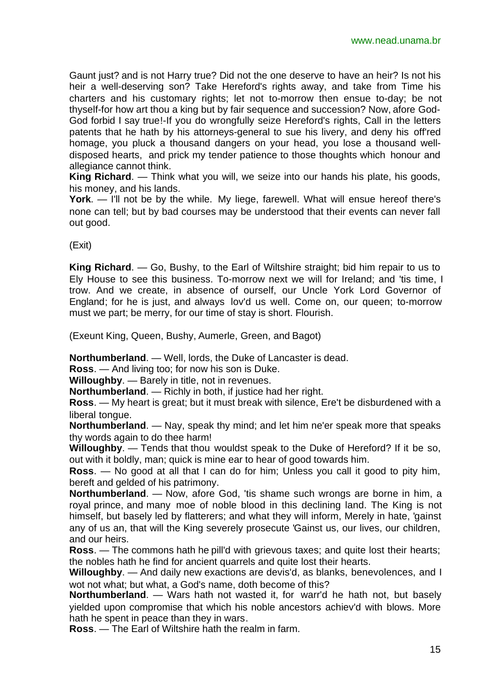Gaunt just? and is not Harry true? Did not the one deserve to have an heir? Is not his heir a well-deserving son? Take Hereford's rights away, and take from Time his charters and his customary rights; let not to-morrow then ensue to-day; be not thyself-for how art thou a king but by fair sequence and succession? Now, afore God-God forbid I say true!-If you do wrongfully seize Hereford's rights, Call in the letters patents that he hath by his attorneys-general to sue his livery, and deny his off'red homage, you pluck a thousand dangers on your head, you lose a thousand welldisposed hearts, and prick my tender patience to those thoughts which honour and allegiance cannot think.

**King Richard**. — Think what you will, we seize into our hands his plate, his goods, his money, and his lands.

**York**. — I'll not be by the while. My liege, farewell. What will ensue hereof there's none can tell; but by bad courses may be understood that their events can never fall out good.

(Exit)

**King Richard**. — Go, Bushy, to the Earl of Wiltshire straight; bid him repair to us to Ely House to see this business. To-morrow next we will for Ireland; and 'tis time, I trow. And we create, in absence of ourself, our Uncle York Lord Governor of England; for he is just, and always lov'd us well. Come on, our queen; to-morrow must we part; be merry, for our time of stay is short. Flourish.

(Exeunt King, Queen, Bushy, Aumerle, Green, and Bagot)

**Northumberland**. — Well, lords, the Duke of Lancaster is dead.

**Ross**. — And living too; for now his son is Duke.

**Willoughby**. — Barely in title, not in revenues.

**Northumberland**. — Richly in both, if justice had her right.

**Ross**. — My heart is great; but it must break with silence, Ere't be disburdened with a liberal tongue.

**Northumberland**. — Nay, speak thy mind; and let him ne'er speak more that speaks thy words again to do thee harm!

**Willoughby**. — Tends that thou wouldst speak to the Duke of Hereford? If it be so, out with it boldly, man; quick is mine ear to hear of good towards him.

**Ross**. — No good at all that I can do for him; Unless you call it good to pity him, bereft and gelded of his patrimony.

**Northumberland**. — Now, afore God, 'tis shame such wrongs are borne in him, a royal prince, and many moe of noble blood in this declining land. The King is not himself, but basely led by flatterers; and what they will inform, Merely in hate, 'gainst any of us an, that will the King severely prosecute 'Gainst us, our lives, our children, and our heirs.

**Ross**. — The commons hath he pill'd with grievous taxes; and quite lost their hearts; the nobles hath he find for ancient quarrels and quite lost their hearts.

**Willoughby**. — And daily new exactions are devis'd, as blanks, benevolences, and I wot not what; but what, a God's name, doth become of this?

**Northumberland**. — Wars hath not wasted it, for warr'd he hath not, but basely yielded upon compromise that which his noble ancestors achiev'd with blows. More hath he spent in peace than they in wars.

**Ross**. — The Earl of Wiltshire hath the realm in farm.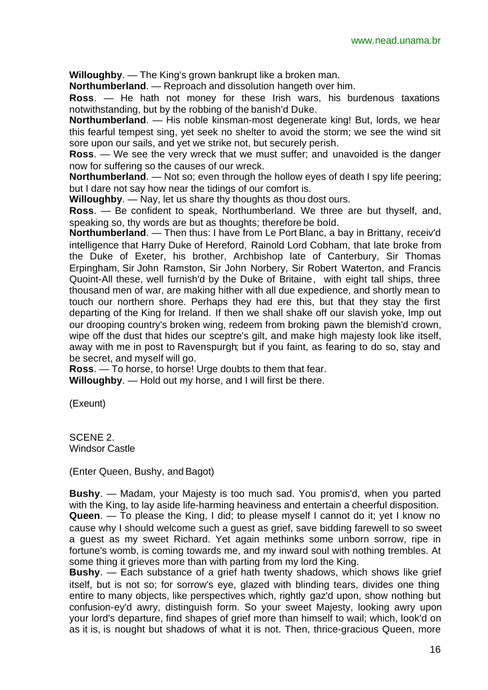**Willoughby**. — The King's grown bankrupt like a broken man.

**Northumberland**. — Reproach and dissolution hangeth over him.

**Ross**. — He hath not money for these Irish wars, his burdenous taxations notwithstanding, but by the robbing of the banish'd Duke.

**Northumberland**. — His noble kinsman-most degenerate king! But, lords, we hear this fearful tempest sing, yet seek no shelter to avoid the storm; we see the wind sit sore upon our sails, and yet we strike not, but securely perish.

**Ross**. — We see the very wreck that we must suffer; and unavoided is the danger now for suffering so the causes of our wreck.

**Northumberland.** — Not so; even through the hollow eyes of death I spy life peering; but I dare not say how near the tidings of our comfort is.

**Willoughby**. — Nay, let us share thy thoughts as thou dost ours.

**Ross**. — Be confident to speak, Northumberland. We three are but thyself, and, speaking so, thy words are but as thoughts; therefore be bold.

**Northumberland**. — Then thus: I have from Le Port Blanc, a bay in Brittany, receiv'd intelligence that Harry Duke of Hereford, Rainold Lord Cobham, that late broke from the Duke of Exeter, his brother, Archbishop late of Canterbury, Sir Thomas Erpingham, Sir John Ramston, Sir John Norbery, Sir Robert Waterton, and Francis Quoint-All these, well furnish'd by the Duke of Britaine, with eight tall ships, three thousand men of war, are making hither with all due expedience, and shortly mean to touch our northern shore. Perhaps they had ere this, but that they stay the first departing of the King for Ireland. If then we shall shake off our slavish yoke, Imp out our drooping country's broken wing, redeem from broking pawn the blemish'd crown, wipe off the dust that hides our sceptre's gilt, and make high majesty look like itself, away with me in post to Ravenspurgh; but if you faint, as fearing to do so, stay and be secret, and myself will go.

**Ross**. — To horse, to horse! Urge doubts to them that fear.

**Willoughby**. — Hold out my horse, and I will first be there.

(Exeunt)

SCENE 2. Windsor Castle

(Enter Queen, Bushy, and Bagot)

**Bushy**. — Madam, your Majesty is too much sad. You promis'd, when you parted with the King, to lay aside life-harming heaviness and entertain a cheerful disposition.

**Queen**. — To please the King, I did; to please myself I cannot do it; yet I know no cause why I should welcome such a guest as grief, save bidding farewell to so sweet a guest as my sweet Richard. Yet again methinks some unborn sorrow, ripe in fortune's womb, is coming towards me, and my inward soul with nothing trembles. At some thing it grieves more than with parting from my lord the King.

**Bushy**. — Each substance of a grief hath twenty shadows, which shows like grief itself, but is not so; for sorrow's eye, glazed with blinding tears, divides one thing entire to many objects, like perspectives which, rightly gaz'd upon, show nothing but confusion-ey'd awry, distinguish form. So your sweet Majesty, looking awry upon your lord's departure, find shapes of grief more than himself to wail; which, look'd on as it is, is nought but shadows of what it is not. Then, thrice-gracious Queen, more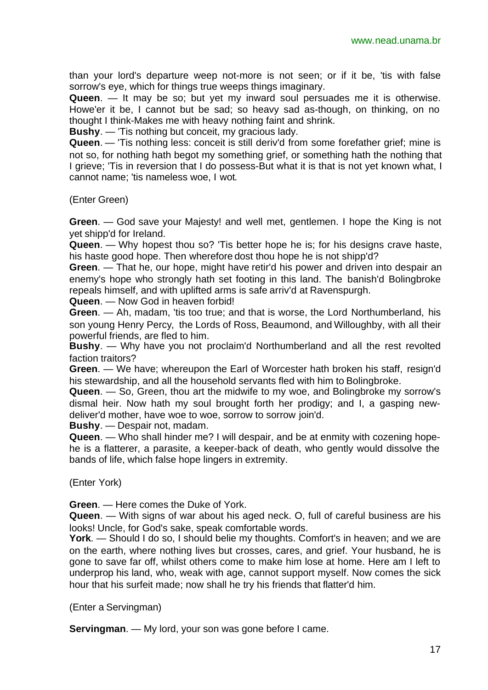than your lord's departure weep not-more is not seen; or if it be, 'tis with false sorrow's eye, which for things true weeps things imaginary.

**Queen**. — It may be so; but yet my inward soul persuades me it is otherwise. Howe'er it be, I cannot but be sad; so heavy sad as-though, on thinking, on no thought I think-Makes me with heavy nothing faint and shrink.

**Bushy**. — 'Tis nothing but conceit, my gracious lady.

**Queen**. — 'Tis nothing less: conceit is still deriv'd from some forefather grief; mine is not so, for nothing hath begot my something grief, or something hath the nothing that I grieve; 'Tis in reversion that I do possess-But what it is that is not yet known what, I cannot name; 'tis nameless woe, I wot.

(Enter Green)

**Green**. — God save your Majesty! and well met, gentlemen. I hope the King is not yet shipp'd for Ireland.

**Queen**. — Why hopest thou so? 'Tis better hope he is; for his designs crave haste, his haste good hope. Then wherefore dost thou hope he is not shipp'd?

**Green**. — That he, our hope, might have retir'd his power and driven into despair an enemy's hope who strongly hath set footing in this land. The banish'd Bolingbroke repeals himself, and with uplifted arms is safe arriv'd at Ravenspurgh.

**Queen**. — Now God in heaven forbid!

**Green**. — Ah, madam, 'tis too true; and that is worse, the Lord Northumberland, his son young Henry Percy, the Lords of Ross, Beaumond, and Willoughby, with all their powerful friends, are fled to him.

**Bushy**. — Why have you not proclaim'd Northumberland and all the rest revolted faction traitors?

**Green**. — We have; whereupon the Earl of Worcester hath broken his staff, resign'd his stewardship, and all the household servants fled with him to Bolingbroke.

**Queen**. — So, Green, thou art the midwife to my woe, and Bolingbroke my sorrow's dismal heir. Now hath my soul brought forth her prodigy; and I, a gasping newdeliver'd mother, have woe to woe, sorrow to sorrow join'd.

**Bushy**. — Despair not, madam.

**Queen**. — Who shall hinder me? I will despair, and be at enmity with cozening hopehe is a flatterer, a parasite, a keeper-back of death, who gently would dissolve the bands of life, which false hope lingers in extremity.

(Enter York)

**Green**. — Here comes the Duke of York.

**Queen**. — With signs of war about his aged neck. O, full of careful business are his looks! Uncle, for God's sake, speak comfortable words.

**York**. — Should I do so, I should belie my thoughts. Comfort's in heaven; and we are on the earth, where nothing lives but crosses, cares, and grief. Your husband, he is gone to save far off, whilst others come to make him lose at home. Here am I left to underprop his land, who, weak with age, cannot support myself. Now comes the sick hour that his surfeit made; now shall he try his friends that flatter'd him.

(Enter a Servingman)

**Servingman**. — My lord, your son was gone before I came.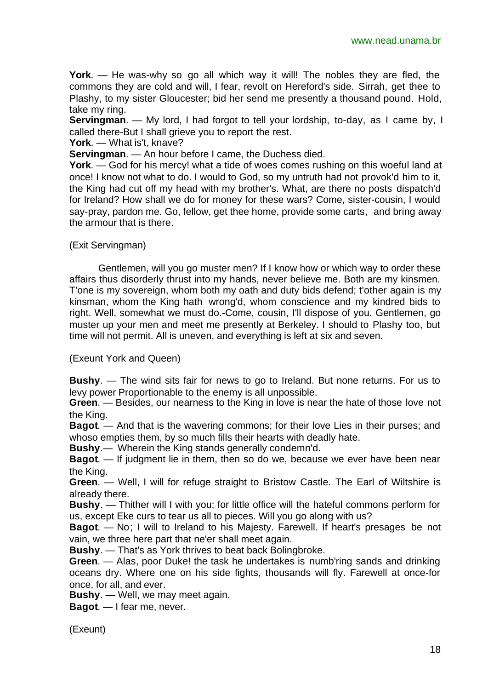**York**. — He was-why so go all which way it will! The nobles they are fled, the commons they are cold and will, I fear, revolt on Hereford's side. Sirrah, get thee to Plashy, to my sister Gloucester; bid her send me presently a thousand pound. Hold, take my ring.

**Servingman**. — My lord, I had forgot to tell your lordship, to-day, as I came by, I called there-But I shall grieve you to report the rest.

**York**. — What is't, knave?

**Servingman**. — An hour before I came, the Duchess died.

**York**. — God for his mercy! what a tide of woes comes rushing on this woeful land at once! I know not what to do. I would to God, so my untruth had not provok'd him to it, the King had cut off my head with my brother's. What, are there no posts dispatch'd for Ireland? How shall we do for money for these wars? Come, sister-cousin, I would say-pray, pardon me. Go, fellow, get thee home, provide some carts, and bring away the armour that is there.

(Exit Servingman)

Gentlemen, will you go muster men? If I know how or which way to order these affairs thus disorderly thrust into my hands, never believe me. Both are my kinsmen. T'one is my sovereign, whom both my oath and duty bids defend; t'other again is my kinsman, whom the King hath wrong'd, whom conscience and my kindred bids to right. Well, somewhat we must do.-Come, cousin, I'll dispose of you. Gentlemen, go muster up your men and meet me presently at Berkeley. I should to Plashy too, but time will not permit. All is uneven, and everything is left at six and seven.

(Exeunt York and Queen)

**Bushy**. — The wind sits fair for news to go to Ireland. But none returns. For us to levy power Proportionable to the enemy is all unpossible.

**Green**. — Besides, our nearness to the King in love is near the hate of those love not the King.

**Bagot**. — And that is the wavering commons; for their love Lies in their purses; and whoso empties them, by so much fills their hearts with deadly hate.

**Bushy**.— Wherein the King stands generally condemn'd.

**Bagot**. — If judgment lie in them, then so do we, because we ever have been near the King.

**Green**. — Well, I will for refuge straight to Bristow Castle. The Earl of Wiltshire is already there.

**Bushy**. — Thither will I with you; for little office will the hateful commons perform for us, except Eke curs to tear us all to pieces. Will you go along with us?

**Bagot**. — No; I will to Ireland to his Majesty. Farewell. If heart's presages be not vain, we three here part that ne'er shall meet again.

**Bushy**. — That's as York thrives to beat back Bolingbroke.

**Green**. — Alas, poor Duke! the task he undertakes is numb'ring sands and drinking oceans dry. Where one on his side fights, thousands will fly. Farewell at once-for once, for all, and ever.

**Bushy**. — Well, we may meet again.

**Bagot**. — I fear me, never.

(Exeunt)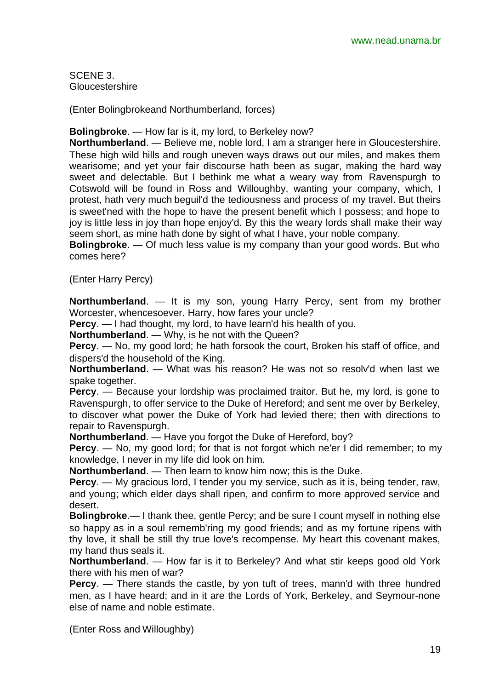SCENE 3. Gloucestershire

(Enter Bolingbrokeand Northumberland, forces)

**Bolingbroke**. — How far is it, my lord, to Berkeley now?

**Northumberland**. — Believe me, noble lord, I am a stranger here in Gloucestershire. These high wild hills and rough uneven ways draws out our miles, and makes them wearisome; and yet your fair discourse hath been as sugar, making the hard way sweet and delectable. But I bethink me what a weary way from Ravenspurgh to Cotswold will be found in Ross and Willoughby, wanting your company, which, I protest, hath very much beguil'd the tediousness and process of my travel. But theirs is sweet'ned with the hope to have the present benefit which I possess; and hope to joy is little less in joy than hope enjoy'd. By this the weary lords shall make their way seem short, as mine hath done by sight of what I have, your noble company.

**Bolingbroke**. — Of much less value is my company than your good words. But who comes here?

(Enter Harry Percy)

**Northumberland**. — It is my son, young Harry Percy, sent from my brother Worcester, whencesoever. Harry, how fares your uncle?

**Percy**. — I had thought, my lord, to have learn'd his health of you.

**Northumberland**. — Why, is he not with the Queen?

**Percy**. — No, my good lord; he hath forsook the court, Broken his staff of office, and dispers'd the household of the King.

**Northumberland**. — What was his reason? He was not so resolv'd when last we spake together.

**Percy**. — Because your lordship was proclaimed traitor. But he, my lord, is gone to Ravenspurgh, to offer service to the Duke of Hereford; and sent me over by Berkeley, to discover what power the Duke of York had levied there; then with directions to repair to Ravenspurgh.

**Northumberland**. — Have you forgot the Duke of Hereford, boy?

**Percy**. — No, my good lord; for that is not forgot which ne'er I did remember; to my knowledge, I never in my life did look on him.

**Northumberland**. — Then learn to know him now; this is the Duke.

**Percy**. — My gracious lord, I tender you my service, such as it is, being tender, raw, and young; which elder days shall ripen, and confirm to more approved service and desert.

**Bolingbroke**.— I thank thee, gentle Percy; and be sure I count myself in nothing else so happy as in a soul rememb'ring my good friends; and as my fortune ripens with thy love, it shall be still thy true love's recompense. My heart this covenant makes, my hand thus seals it.

**Northumberland**. — How far is it to Berkeley? And what stir keeps good old York there with his men of war?

**Percy**. — There stands the castle, by yon tuft of trees, mann'd with three hundred men, as I have heard; and in it are the Lords of York, Berkeley, and Seymour-none else of name and noble estimate.

(Enter Ross and Willoughby)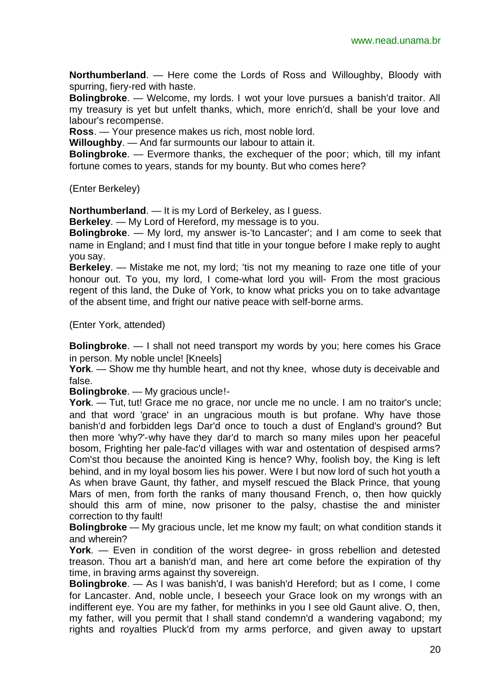**Northumberland**. — Here come the Lords of Ross and Willoughby, Bloody with spurring, fiery-red with haste.

**Bolingbroke**. — Welcome, my lords. I wot your love pursues a banish'd traitor. All my treasury is yet but unfelt thanks, which, more enrich'd, shall be your love and labour's recompense.

**Ross**. — Your presence makes us rich, most noble lord.

**Willoughby**. — And far surmounts our labour to attain it.

**Bolingbroke**. — Evermore thanks, the exchequer of the poor; which, till my infant fortune comes to years, stands for my bounty. But who comes here?

(Enter Berkeley)

**Northumberland**. — It is my Lord of Berkeley, as I guess.

**Berkeley**. — My Lord of Hereford, my message is to you.

**Bolingbroke**. — My lord, my answer is-'to Lancaster'; and I am come to seek that name in England; and I must find that title in your tongue before I make reply to aught you say.

**Berkeley**. — Mistake me not, my lord; 'tis not my meaning to raze one title of your honour out. To you, my lord, I come-what lord you will- From the most gracious regent of this land, the Duke of York, to know what pricks you on to take advantage of the absent time, and fright our native peace with self-borne arms.

(Enter York, attended)

**Bolingbroke**. — I shall not need transport my words by you; here comes his Grace in person. My noble uncle! [Kneels]

**York**. — Show me thy humble heart, and not thy knee, whose duty is deceivable and false.

**Bolingbroke**. — My gracious uncle!-

**York**. — Tut, tut! Grace me no grace, nor uncle me no uncle. I am no traitor's uncle; and that word 'grace' in an ungracious mouth is but profane. Why have those banish'd and forbidden legs Dar'd once to touch a dust of England's ground? But then more 'why?'-why have they dar'd to march so many miles upon her peaceful bosom, Frighting her pale-fac'd villages with war and ostentation of despised arms? Com'st thou because the anointed King is hence? Why, foolish boy, the King is left behind, and in my loyal bosom lies his power. Were I but now lord of such hot youth a As when brave Gaunt, thy father, and myself rescued the Black Prince, that young Mars of men, from forth the ranks of many thousand French, o, then how quickly should this arm of mine, now prisoner to the palsy, chastise the and minister correction to thy fault!

**Bolingbroke** — My gracious uncle, let me know my fault; on what condition stands it and wherein?

**York**. — Even in condition of the worst degree- in gross rebellion and detested treason. Thou art a banish'd man, and here art come before the expiration of thy time, in braving arms against thy sovereign.

**Bolingbroke**. — As I was banish'd, I was banish'd Hereford; but as I come, I come for Lancaster. And, noble uncle, I beseech your Grace look on my wrongs with an indifferent eye. You are my father, for methinks in you I see old Gaunt alive. O, then, my father, will you permit that I shall stand condemn'd a wandering vagabond; my rights and royalties Pluck'd from my arms perforce, and given away to upstart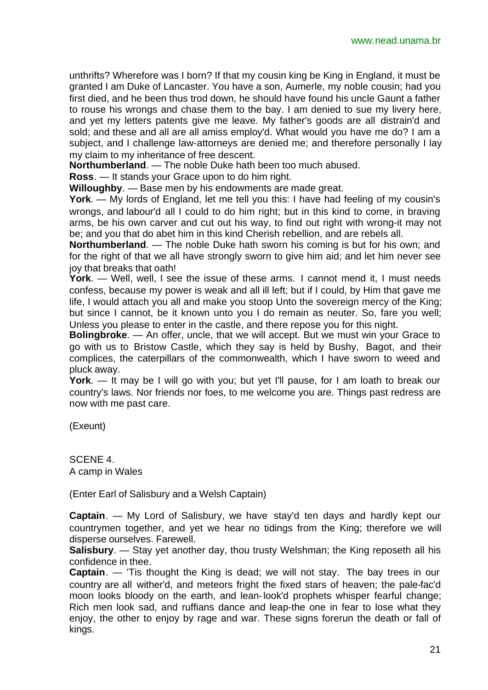unthrifts? Wherefore was I born? If that my cousin king be King in England, it must be granted I am Duke of Lancaster. You have a son, Aumerle, my noble cousin; had you first died, and he been thus trod down, he should have found his uncle Gaunt a father to rouse his wrongs and chase them to the bay. I am denied to sue my livery here, and yet my letters patents give me leave. My father's goods are all distrain'd and sold; and these and all are all amiss employ'd. What would you have me do? I am a subject, and I challenge law-attorneys are denied me; and therefore personally I lay my claim to my inheritance of free descent.

**Northumberland**. — The noble Duke hath been too much abused.

**Ross**. — It stands your Grace upon to do him right.

**Willoughby**. — Base men by his endowments are made great.

**York**. — My lords of England, let me tell you this: I have had feeling of my cousin's wrongs, and labour'd all I could to do him right; but in this kind to come, in braving arms, be his own carver and cut out his way, to find out right with wrong-it may not be; and you that do abet him in this kind Cherish rebellion, and are rebels all.

**Northumberland.** — The noble Duke hath sworn his coming is but for his own; and for the right of that we all have strongly sworn to give him aid; and let him never see joy that breaks that oath!

**York**. — Well, well, I see the issue of these arms. I cannot mend it, I must needs confess, because my power is weak and all ill left; but if I could, by Him that gave me life, I would attach you all and make you stoop Unto the sovereign mercy of the King; but since I cannot, be it known unto you I do remain as neuter. So, fare you well; Unless you please to enter in the castle, and there repose you for this night.

**Bolingbroke**. — An offer, uncle, that we will accept. But we must win your Grace to go with us to Bristow Castle, which they say is held by Bushy, Bagot, and their complices, the caterpillars of the commonwealth, which I have sworn to weed and pluck away.

**York**. — It may be I will go with you; but yet I'll pause, for I am loath to break our country's laws. Nor friends nor foes, to me welcome you are. Things past redress are now with me past care.

(Exeunt)

SCENE 4. A camp in Wales

(Enter Earl of Salisbury and a Welsh Captain)

**Captain**. — My Lord of Salisbury, we have stay'd ten days and hardly kept our countrymen together, and yet we hear no tidings from the King; therefore we will disperse ourselves. Farewell.

**Salisbury**. — Stay yet another day, thou trusty Welshman; the King reposeth all his confidence in thee.

**Captain**. — 'Tis thought the King is dead; we will not stay. The bay trees in our country are all wither'd, and meteors fright the fixed stars of heaven; the pale-fac'd moon looks bloody on the earth, and lean-look'd prophets whisper fearful change; Rich men look sad, and ruffians dance and leap-the one in fear to lose what they enjoy, the other to enjoy by rage and war. These signs forerun the death or fall of kings.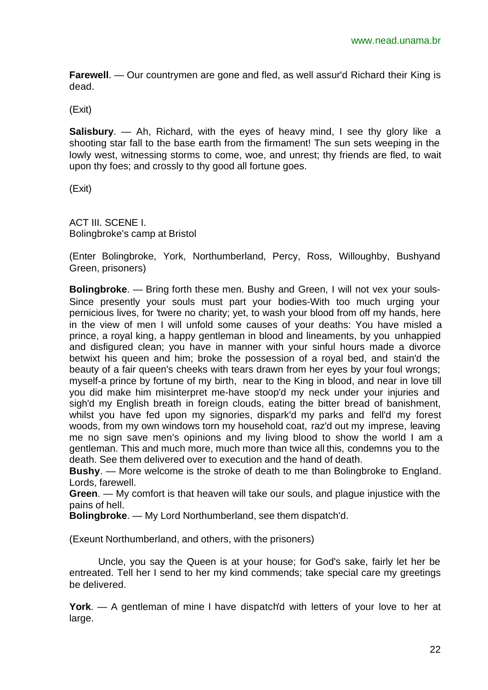**Farewell**. — Our countrymen are gone and fled, as well assur'd Richard their King is dead.

(Exit)

**Salisbury**. — Ah, Richard, with the eyes of heavy mind, I see thy glory like a shooting star fall to the base earth from the firmament! The sun sets weeping in the lowly west, witnessing storms to come, woe, and unrest; thy friends are fled, to wait upon thy foes; and crossly to thy good all fortune goes.

(Exit)

ACT III. SCENE I. Bolingbroke's camp at Bristol

(Enter Bolingbroke, York, Northumberland, Percy, Ross, Willoughby, Bushyand Green, prisoners)

**Bolingbroke**. — Bring forth these men. Bushy and Green, I will not vex your souls-Since presently your souls must part your bodies-With too much urging your pernicious lives, for 'twere no charity; yet, to wash your blood from off my hands, here in the view of men I will unfold some causes of your deaths: You have misled a prince, a royal king, a happy gentleman in blood and lineaments, by you unhappied and disfigured clean; you have in manner with your sinful hours made a divorce betwixt his queen and him; broke the possession of a royal bed, and stain'd the beauty of a fair queen's cheeks with tears drawn from her eyes by your foul wrongs; myself-a prince by fortune of my birth, near to the King in blood, and near in love till you did make him misinterpret me-have stoop'd my neck under your injuries and sigh'd my English breath in foreign clouds, eating the bitter bread of banishment, whilst you have fed upon my signories, dispark'd my parks and fell'd my forest woods, from my own windows torn my household coat, raz'd out my imprese, leaving me no sign save men's opinions and my living blood to show the world I am a gentleman. This and much more, much more than twice all this, condemns you to the death. See them delivered over to execution and the hand of death.

**Bushy**. — More welcome is the stroke of death to me than Bolingbroke to England. Lords, farewell.

**Green**. — My comfort is that heaven will take our souls, and plague injustice with the pains of hell.

**Bolingbroke**. — My Lord Northumberland, see them dispatch'd.

(Exeunt Northumberland, and others, with the prisoners)

Uncle, you say the Queen is at your house; for God's sake, fairly let her be entreated. Tell her I send to her my kind commends; take special care my greetings be delivered.

**York**. — A gentleman of mine I have dispatch'd with letters of your love to her at large.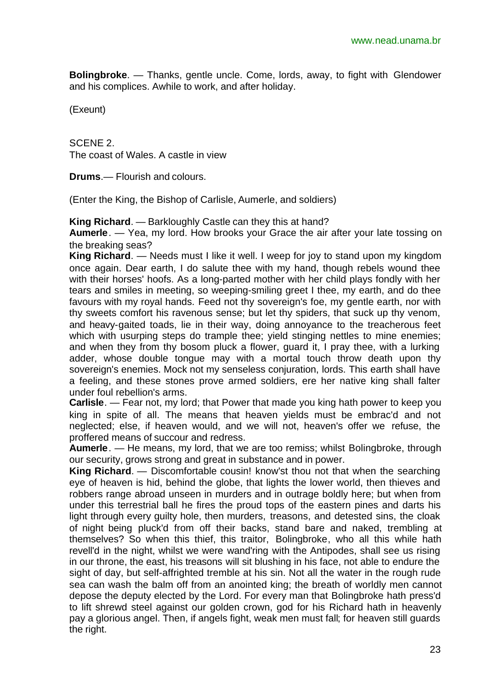**Bolingbroke**. — Thanks, gentle uncle. Come, lords, away, to fight with Glendower and his complices. Awhile to work, and after holiday.

(Exeunt)

SCENE 2. The coast of Wales. A castle in view

**Drums**.— Flourish and colours.

(Enter the King, the Bishop of Carlisle, Aumerle, and soldiers)

**King Richard**. — Barkloughly Castle can they this at hand?

**Aumerle**. — Yea, my lord. How brooks your Grace the air after your late tossing on the breaking seas?

**King Richard**. — Needs must I like it well. I weep for joy to stand upon my kingdom once again. Dear earth, I do salute thee with my hand, though rebels wound thee with their horses' hoofs. As a long-parted mother with her child plays fondly with her tears and smiles in meeting, so weeping-smiling greet I thee, my earth, and do thee favours with my royal hands. Feed not thy sovereign's foe, my gentle earth, nor with thy sweets comfort his ravenous sense; but let thy spiders, that suck up thy venom, and heavy-gaited toads, lie in their way, doing annoyance to the treacherous feet which with usurping steps do trample thee; yield stinging nettles to mine enemies; and when they from thy bosom pluck a flower, guard it, I pray thee, with a lurking adder, whose double tongue may with a mortal touch throw death upon thy sovereign's enemies. Mock not my senseless conjuration, lords. This earth shall have a feeling, and these stones prove armed soldiers, ere her native king shall falter under foul rebellion's arms.

**Carlisle**. — Fear not, my lord; that Power that made you king hath power to keep you king in spite of all. The means that heaven yields must be embrac'd and not neglected; else, if heaven would, and we will not, heaven's offer we refuse, the proffered means of succour and redress.

**Aumerle**. — He means, my lord, that we are too remiss; whilst Bolingbroke, through our security, grows strong and great in substance and in power.

**King Richard**. — Discomfortable cousin! know'st thou not that when the searching eye of heaven is hid, behind the globe, that lights the lower world, then thieves and robbers range abroad unseen in murders and in outrage boldly here; but when from under this terrestrial ball he fires the proud tops of the eastern pines and darts his light through every guilty hole, then murders, treasons, and detested sins, the cloak of night being pluck'd from off their backs, stand bare and naked, trembling at themselves? So when this thief, this traitor, Bolingbroke, who all this while hath revell'd in the night, whilst we were wand'ring with the Antipodes, shall see us rising in our throne, the east, his treasons will sit blushing in his face, not able to endure the sight of day, but self-affrighted tremble at his sin. Not all the water in the rough rude sea can wash the balm off from an anointed king; the breath of worldly men cannot depose the deputy elected by the Lord. For every man that Bolingbroke hath press'd to lift shrewd steel against our golden crown, god for his Richard hath in heavenly pay a glorious angel. Then, if angels fight, weak men must fall; for heaven still guards the right.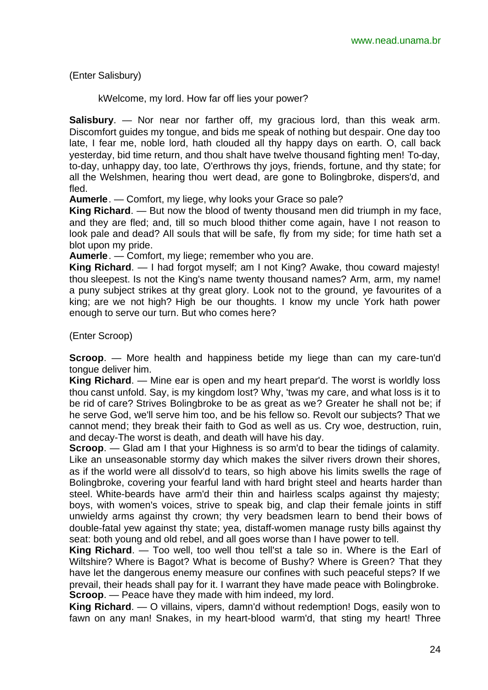(Enter Salisbury)

kWelcome, my lord. How far off lies your power?

**Salisbury**. — Nor near nor farther off, my gracious lord, than this weak arm. Discomfort guides my tongue, and bids me speak of nothing but despair. One day too late, I fear me, noble lord, hath clouded all thy happy days on earth. O, call back yesterday, bid time return, and thou shalt have twelve thousand fighting men! To-day, to-day, unhappy day, too late, O'erthrows thy joys, friends, fortune, and thy state; for all the Welshmen, hearing thou wert dead, are gone to Bolingbroke, dispers'd, and fled.

**Aumerle**. — Comfort, my liege, why looks your Grace so pale?

**King Richard**. — But now the blood of twenty thousand men did triumph in my face, and they are fled; and, till so much blood thither come again, have I not reason to look pale and dead? All souls that will be safe, fly from my side; for time hath set a blot upon my pride.

**Aumerle**. — Comfort, my liege; remember who you are.

**King Richard**. — I had forgot myself; am I not King? Awake, thou coward majesty! thou sleepest. Is not the King's name twenty thousand names? Arm, arm, my name! a puny subject strikes at thy great glory. Look not to the ground, ye favourites of a king; are we not high? High be our thoughts. I know my uncle York hath power enough to serve our turn. But who comes here?

(Enter Scroop)

**Scroop**. — More health and happiness betide my liege than can my care-tun'd tongue deliver him.

**King Richard**. — Mine ear is open and my heart prepar'd. The worst is worldly loss thou canst unfold. Say, is my kingdom lost? Why, 'twas my care, and what loss is it to be rid of care? Strives Bolingbroke to be as great as we? Greater he shall not be; if he serve God, we'll serve him too, and be his fellow so. Revolt our subjects? That we cannot mend; they break their faith to God as well as us. Cry woe, destruction, ruin, and decay-The worst is death, and death will have his day.

**Scroop**. — Glad am I that your Highness is so arm'd to bear the tidings of calamity. Like an unseasonable stormy day which makes the silver rivers drown their shores, as if the world were all dissolv'd to tears, so high above his limits swells the rage of Bolingbroke, covering your fearful land with hard bright steel and hearts harder than steel. White-beards have arm'd their thin and hairless scalps against thy majesty; boys, with women's voices, strive to speak big, and clap their female joints in stiff unwieldy arms against thy crown; thy very beadsmen learn to bend their bows of double-fatal yew against thy state; yea, distaff-women manage rusty bills against thy seat: both young and old rebel, and all goes worse than I have power to tell.

**King Richard**. — Too well, too well thou tell'st a tale so in. Where is the Earl of Wiltshire? Where is Bagot? What is become of Bushy? Where is Green? That they have let the dangerous enemy measure our confines with such peaceful steps? If we prevail, their heads shall pay for it. I warrant they have made peace with Bolingbroke. **Scroop**. — Peace have they made with him indeed, my lord.

**King Richard**. — O villains, vipers, damn'd without redemption! Dogs, easily won to fawn on any man! Snakes, in my heart-blood warm'd, that sting my heart! Three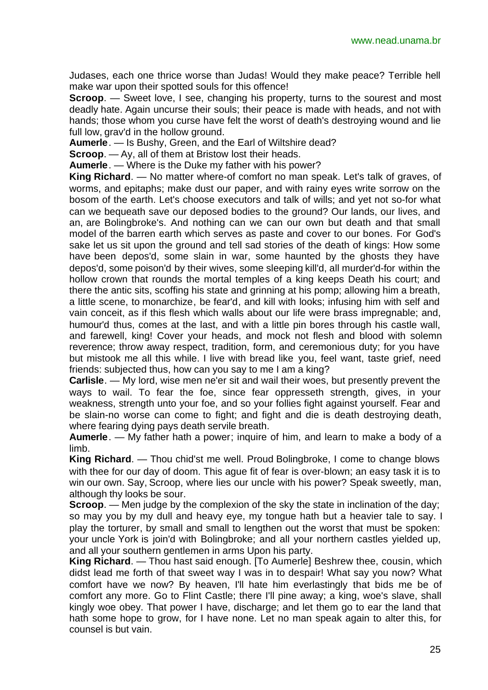Judases, each one thrice worse than Judas! Would they make peace? Terrible hell make war upon their spotted souls for this offence!

**Scroop.** — Sweet love, I see, changing his property, turns to the sourest and most deadly hate. Again uncurse their souls; their peace is made with heads, and not with hands; those whom you curse have felt the worst of death's destroying wound and lie full low, grav'd in the hollow ground.

**Aumerle**. — Is Bushy, Green, and the Earl of Wiltshire dead?

**Scroop**. — Ay, all of them at Bristow lost their heads.

**Aumerle**. — Where is the Duke my father with his power?

**King Richard**. — No matter where-of comfort no man speak. Let's talk of graves, of worms, and epitaphs; make dust our paper, and with rainy eyes write sorrow on the bosom of the earth. Let's choose executors and talk of wills; and yet not so-for what can we bequeath save our deposed bodies to the ground? Our lands, our lives, and an, are Bolingbroke's. And nothing can we can our own but death and that small model of the barren earth which serves as paste and cover to our bones. For God's sake let us sit upon the ground and tell sad stories of the death of kings: How some have been depos'd, some slain in war, some haunted by the ghosts they have depos'd, some poison'd by their wives, some sleeping kill'd, all murder'd-for within the hollow crown that rounds the mortal temples of a king keeps Death his court; and there the antic sits, scoffing his state and grinning at his pomp; allowing him a breath, a little scene, to monarchize, be fear'd, and kill with looks; infusing him with self and vain conceit, as if this flesh which walls about our life were brass impregnable; and, humour'd thus, comes at the last, and with a little pin bores through his castle wall, and farewell, king! Cover your heads, and mock not flesh and blood with solemn reverence; throw away respect, tradition, form, and ceremonious duty; for you have but mistook me all this while. I live with bread like you, feel want, taste grief, need friends: subjected thus, how can you say to me I am a king?

**Carlisle**. — My lord, wise men ne'er sit and wail their woes, but presently prevent the ways to wail. To fear the foe, since fear oppresseth strength, gives, in your weakness, strength unto your foe, and so your follies fight against yourself. Fear and be slain-no worse can come to fight; and fight and die is death destroying death, where fearing dying pays death servile breath.

**Aumerle**. — My father hath a power; inquire of him, and learn to make a body of a limb.

**King Richard**. — Thou chid'st me well. Proud Bolingbroke, I come to change blows with thee for our day of doom. This ague fit of fear is over-blown; an easy task it is to win our own. Say, Scroop, where lies our uncle with his power? Speak sweetly, man, although thy looks be sour.

**Scroop**. — Men judge by the complexion of the sky the state in inclination of the day; so may you by my dull and heavy eye, my tongue hath but a heavier tale to say. I play the torturer, by small and small to lengthen out the worst that must be spoken: your uncle York is join'd with Bolingbroke; and all your northern castles yielded up, and all your southern gentlemen in arms Upon his party.

**King Richard**. — Thou hast said enough. [To Aumerle] Beshrew thee, cousin, which didst lead me forth of that sweet way I was in to despair! What say you now? What comfort have we now? By heaven, I'll hate him everlastingly that bids me be of comfort any more. Go to Flint Castle; there I'll pine away; a king, woe's slave, shall kingly woe obey. That power I have, discharge; and let them go to ear the land that hath some hope to grow, for I have none. Let no man speak again to alter this, for counsel is but vain.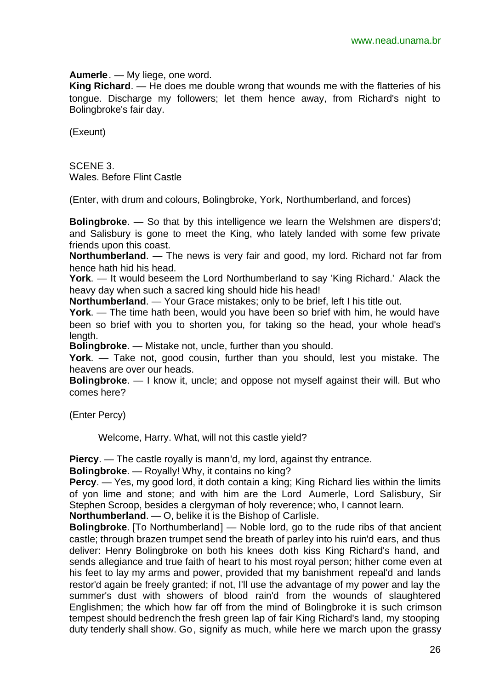**Aumerle**. — My liege, one word.

**King Richard**. — He does me double wrong that wounds me with the flatteries of his tongue. Discharge my followers; let them hence away, from Richard's night to Bolingbroke's fair day.

(Exeunt)

SCENE 3. Wales. Before Flint Castle

(Enter, with drum and colours, Bolingbroke, York, Northumberland, and forces)

**Bolingbroke**. — So that by this intelligence we learn the Welshmen are dispers'd; and Salisbury is gone to meet the King, who lately landed with some few private friends upon this coast.

**Northumberland**. — The news is very fair and good, my lord. Richard not far from hence hath hid his head.

**York**. — It would beseem the Lord Northumberland to say 'King Richard.' Alack the heavy day when such a sacred king should hide his head!

**Northumberland**. — Your Grace mistakes; only to be brief, left I his title out.

**York**. — The time hath been, would you have been so brief with him, he would have been so brief with you to shorten you, for taking so the head, your whole head's length.

**Bolingbroke**. — Mistake not, uncle, further than you should.

**York**. — Take not, good cousin, further than you should, lest you mistake. The heavens are over our heads.

**Bolingbroke**. — I know it, uncle; and oppose not myself against their will. But who comes here?

(Enter Percy)

Welcome, Harry. What, will not this castle yield?

**Piercy**. — The castle royally is mann'd, my lord, against thy entrance.

**Bolingbroke**. — Royally! Why, it contains no king?

**Percy**. — Yes, my good lord, it doth contain a king; King Richard lies within the limits of yon lime and stone; and with him are the Lord Aumerle, Lord Salisbury, Sir Stephen Scroop, besides a clergyman of holy reverence; who, I cannot learn.

**Northumberland**. — O, belike it is the Bishop of Carlisle.

**Bolingbroke**. [To Northumberland] — Noble lord, go to the rude ribs of that ancient castle; through brazen trumpet send the breath of parley into his ruin'd ears, and thus deliver: Henry Bolingbroke on both his knees doth kiss King Richard's hand, and sends allegiance and true faith of heart to his most royal person; hither come even at his feet to lay my arms and power, provided that my banishment repeal'd and lands restor'd again be freely granted; if not, I'll use the advantage of my power and lay the summer's dust with showers of blood rain'd from the wounds of slaughtered Englishmen; the which how far off from the mind of Bolingbroke it is such crimson tempest should bedrench the fresh green lap of fair King Richard's land, my stooping duty tenderly shall show. Go, signify as much, while here we march upon the grassy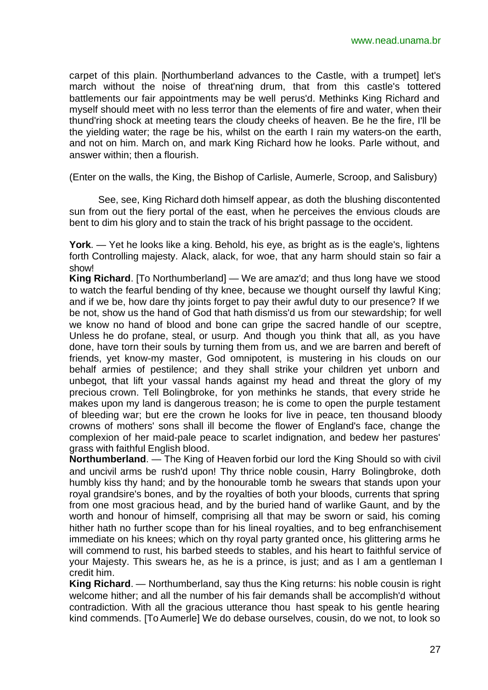carpet of this plain. [Northumberland advances to the Castle, with a trumpet] let's march without the noise of threat'ning drum, that from this castle's tottered battlements our fair appointments may be well perus'd. Methinks King Richard and myself should meet with no less terror than the elements of fire and water, when their thund'ring shock at meeting tears the cloudy cheeks of heaven. Be he the fire, I'll be the yielding water; the rage be his, whilst on the earth I rain my waters-on the earth, and not on him. March on, and mark King Richard how he looks. Parle without, and answer within; then a flourish.

(Enter on the walls, the King, the Bishop of Carlisle, Aumerle, Scroop, and Salisbury)

See, see, King Richard doth himself appear, as doth the blushing discontented sun from out the fiery portal of the east, when he perceives the envious clouds are bent to dim his glory and to stain the track of his bright passage to the occident.

**York**. — Yet he looks like a king. Behold, his eye, as bright as is the eagle's, lightens forth Controlling majesty. Alack, alack, for woe, that any harm should stain so fair a show!

**King Richard**. [To Northumberland] — We are amaz'd; and thus long have we stood to watch the fearful bending of thy knee, because we thought ourself thy lawful King; and if we be, how dare thy joints forget to pay their awful duty to our presence? If we be not, show us the hand of God that hath dismiss'd us from our stewardship; for well we know no hand of blood and bone can gripe the sacred handle of our sceptre, Unless he do profane, steal, or usurp. And though you think that all, as you have done, have torn their souls by turning them from us, and we are barren and bereft of friends, yet know-my master, God omnipotent, is mustering in his clouds on our behalf armies of pestilence; and they shall strike your children yet unborn and unbegot, that lift your vassal hands against my head and threat the glory of my precious crown. Tell Bolingbroke, for yon methinks he stands, that every stride he makes upon my land is dangerous treason; he is come to open the purple testament of bleeding war; but ere the crown he looks for live in peace, ten thousand bloody crowns of mothers' sons shall ill become the flower of England's face, change the complexion of her maid-pale peace to scarlet indignation, and bedew her pastures' grass with faithful English blood.

**Northumberland**. — The King of Heaven forbid our lord the King Should so with civil and uncivil arms be rush'd upon! Thy thrice noble cousin, Harry Bolingbroke, doth humbly kiss thy hand; and by the honourable tomb he swears that stands upon your royal grandsire's bones, and by the royalties of both your bloods, currents that spring from one most gracious head, and by the buried hand of warlike Gaunt, and by the worth and honour of himself, comprising all that may be sworn or said, his coming hither hath no further scope than for his lineal royalties, and to beg enfranchisement immediate on his knees; which on thy royal party granted once, his glittering arms he will commend to rust, his barbed steeds to stables, and his heart to faithful service of your Majesty. This swears he, as he is a prince, is just; and as I am a gentleman I credit him.

**King Richard**. — Northumberland, say thus the King returns: his noble cousin is right welcome hither; and all the number of his fair demands shall be accomplish'd without contradiction. With all the gracious utterance thou hast speak to his gentle hearing kind commends. [To Aumerle] We do debase ourselves, cousin, do we not, to look so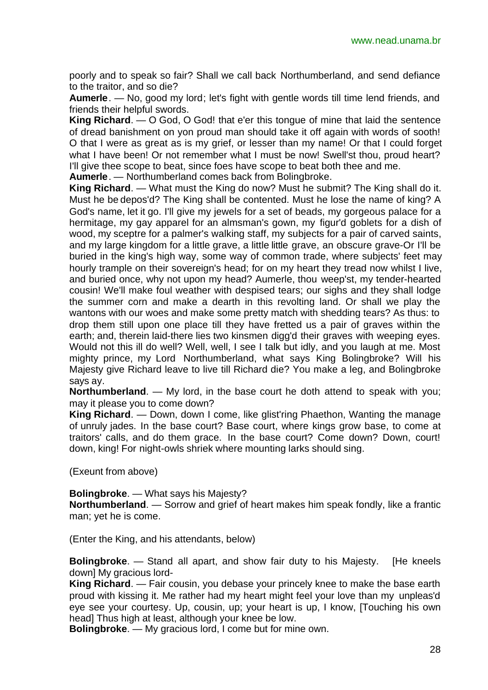poorly and to speak so fair? Shall we call back Northumberland, and send defiance to the traitor, and so die?

**Aumerle**. — No, good my lord; let's fight with gentle words till time lend friends, and friends their helpful swords.

**King Richard**. — O God, O God! that e'er this tongue of mine that laid the sentence of dread banishment on yon proud man should take it off again with words of sooth! O that I were as great as is my grief, or lesser than my name! Or that I could forget what I have been! Or not remember what I must be now! Swell'st thou, proud heart? I'll give thee scope to beat, since foes have scope to beat both thee and me.

**Aumerle**. — Northumberland comes back from Bolingbroke.

**King Richard**. — What must the King do now? Must he submit? The King shall do it. Must he be depos'd? The King shall be contented. Must he lose the name of king? A God's name, let it go. I'll give my jewels for a set of beads, my gorgeous palace for a hermitage, my gay apparel for an almsman's gown, my figur'd goblets for a dish of wood, my sceptre for a palmer's walking staff, my subjects for a pair of carved saints, and my large kingdom for a little grave, a little little grave, an obscure grave-Or I'll be buried in the king's high way, some way of common trade, where subjects' feet may hourly trample on their sovereign's head; for on my heart they tread now whilst I live, and buried once, why not upon my head? Aumerle, thou weep'st, my tender-hearted cousin! We'll make foul weather with despised tears; our sighs and they shall lodge the summer corn and make a dearth in this revolting land. Or shall we play the wantons with our woes and make some pretty match with shedding tears? As thus: to drop them still upon one place till they have fretted us a pair of graves within the earth; and, therein laid-there lies two kinsmen digg'd their graves with weeping eyes. Would not this ill do well? Well, well, I see I talk but idly, and you laugh at me. Most mighty prince, my Lord Northumberland, what says King Bolingbroke? Will his Majesty give Richard leave to live till Richard die? You make a leg, and Bolingbroke says ay.

**Northumberland**. — My lord, in the base court he doth attend to speak with you; may it please you to come down?

**King Richard**. — Down, down I come, like glist'ring Phaethon, Wanting the manage of unruly jades. In the base court? Base court, where kings grow base, to come at traitors' calls, and do them grace. In the base court? Come down? Down, court! down, king! For night-owls shriek where mounting larks should sing.

(Exeunt from above)

**Bolingbroke**. — What says his Majesty?

**Northumberland**. — Sorrow and grief of heart makes him speak fondly, like a frantic man; yet he is come.

(Enter the King, and his attendants, below)

**Bolingbroke**. — Stand all apart, and show fair duty to his Majesty. [He kneels down] My gracious lord-

**King Richard**. — Fair cousin, you debase your princely knee to make the base earth proud with kissing it. Me rather had my heart might feel your love than my unpleas'd eye see your courtesy. Up, cousin, up; your heart is up, I know, [Touching his own head] Thus high at least, although your knee be low.

**Bolingbroke**. — My gracious lord, I come but for mine own.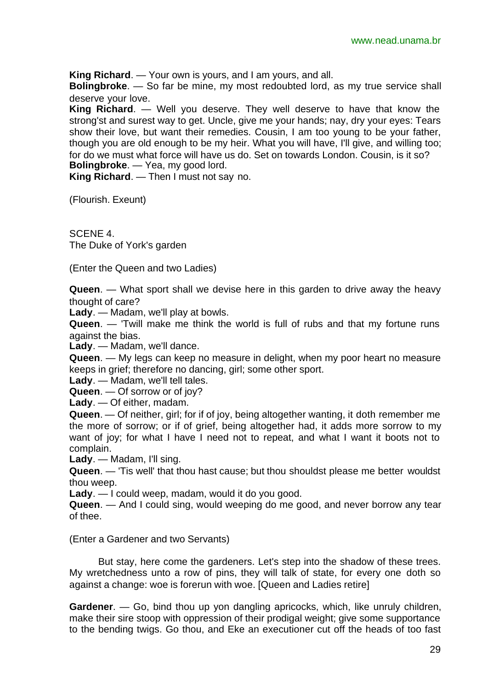**King Richard**. — Your own is yours, and I am yours, and all.

**Bolingbroke**. — So far be mine, my most redoubted lord, as my true service shall deserve your love.

**King Richard**. — Well you deserve. They well deserve to have that know the strong'st and surest way to get. Uncle, give me your hands; nay, dry your eyes: Tears show their love, but want their remedies. Cousin, I am too young to be your father, though you are old enough to be my heir. What you will have, I'll give, and willing too; for do we must what force will have us do. Set on towards London. Cousin, is it so? **Bolingbroke**. — Yea, my good lord.

**King Richard**. — Then I must not say no.

(Flourish. Exeunt)

SCENE 4. The Duke of York's garden

(Enter the Queen and two Ladies)

**Queen**. — What sport shall we devise here in this garden to drive away the heavy thought of care?

**Lady**. — Madam, we'll play at bowls.

**Queen**. — 'Twill make me think the world is full of rubs and that my fortune runs against the bias.

**Lady**. — Madam, we'll dance.

**Queen**. — My legs can keep no measure in delight, when my poor heart no measure keeps in grief; therefore no dancing, girl; some other sport.

**Lady**. — Madam, we'll tell tales.

**Queen**. — Of sorrow or of joy?

**Lady**. — Of either, madam.

**Queen**. — Of neither, girl; for if of joy, being altogether wanting, it doth remember me the more of sorrow; or if of grief, being altogether had, it adds more sorrow to my want of joy; for what I have I need not to repeat, and what I want it boots not to complain.

**Lady**. — Madam, I'll sing.

**Queen**. — 'Tis well' that thou hast cause; but thou shouldst please me better wouldst thou weep.

**Lady**. — I could weep, madam, would it do you good.

**Queen**. — And I could sing, would weeping do me good, and never borrow any tear of thee.

#### (Enter a Gardener and two Servants)

But stay, here come the gardeners. Let's step into the shadow of these trees. My wretchedness unto a row of pins, they will talk of state, for every one doth so against a change: woe is forerun with woe. [Queen and Ladies retire]

**Gardener**. — Go, bind thou up yon dangling apricocks, which, like unruly children, make their sire stoop with oppression of their prodigal weight; give some supportance to the bending twigs. Go thou, and Eke an executioner cut off the heads of too fast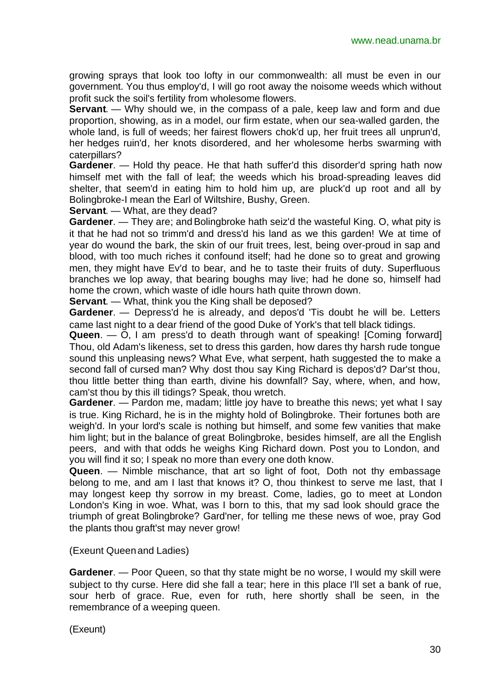growing sprays that look too lofty in our commonwealth: all must be even in our government. You thus employ'd, I will go root away the noisome weeds which without profit suck the soil's fertility from wholesome flowers.

**Servant**. — Why should we, in the compass of a pale, keep law and form and due proportion, showing, as in a model, our firm estate, when our sea-walled garden, the whole land, is full of weeds; her fairest flowers chok'd up, her fruit trees all unprun'd, her hedges ruin'd, her knots disordered, and her wholesome herbs swarming with caterpillars?

**Gardener**. — Hold thy peace. He that hath suffer'd this disorder'd spring hath now himself met with the fall of leaf; the weeds which his broad-spreading leaves did shelter, that seem'd in eating him to hold him up, are pluck'd up root and all by Bolingbroke-I mean the Earl of Wiltshire, Bushy, Green.

**Servant**. — What, are they dead?

**Gardener**. — They are; and Bolingbroke hath seiz'd the wasteful King. O, what pity is it that he had not so trimm'd and dress'd his land as we this garden! We at time of year do wound the bark, the skin of our fruit trees, lest, being over-proud in sap and blood, with too much riches it confound itself; had he done so to great and growing men, they might have Ev'd to bear, and he to taste their fruits of duty. Superfluous branches we lop away, that bearing boughs may live; had he done so, himself had home the crown, which waste of idle hours hath quite thrown down.

**Servant**. — What, think you the King shall be deposed?

**Gardener**. — Depress'd he is already, and depos'd 'Tis doubt he will be. Letters came last night to a dear friend of the good Duke of York's that tell black tidings.

**Queen**. — O, I am press'd to death through want of speaking! [Coming forward] Thou, old Adam's likeness, set to dress this garden, how dares thy harsh rude tongue sound this unpleasing news? What Eve, what serpent, hath suggested the to make a second fall of cursed man? Why dost thou say King Richard is depos'd? Dar'st thou, thou little better thing than earth, divine his downfall? Say, where, when, and how, cam'st thou by this ill tidings? Speak, thou wretch.

**Gardener.** — Pardon me, madam; little joy have to breathe this news; yet what I say is true. King Richard, he is in the mighty hold of Bolingbroke. Their fortunes both are weigh'd. In your lord's scale is nothing but himself, and some few vanities that make him light; but in the balance of great Bolingbroke, besides himself, are all the English peers, and with that odds he weighs King Richard down. Post you to London, and you will find it so; I speak no more than every one doth know.

**Queen**. — Nimble mischance, that art so light of foot, Doth not thy embassage belong to me, and am I last that knows it? O, thou thinkest to serve me last, that I may longest keep thy sorrow in my breast. Come, ladies, go to meet at London London's King in woe. What, was I born to this, that my sad look should grace the triumph of great Bolingbroke? Gard'ner, for telling me these news of woe, pray God the plants thou graft'st may never grow!

(Exeunt Queenand Ladies)

**Gardener**. — Poor Queen, so that thy state might be no worse, I would my skill were subject to thy curse. Here did she fall a tear; here in this place I'll set a bank of rue, sour herb of grace. Rue, even for ruth, here shortly shall be seen, in the remembrance of a weeping queen.

(Exeunt)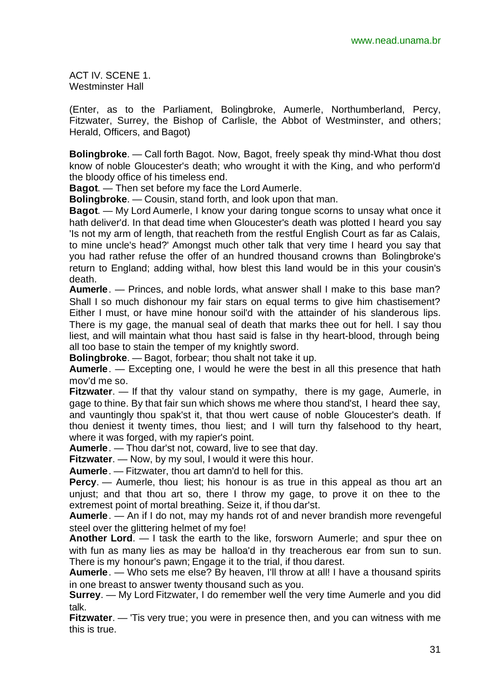ACT IV. SCENE 1. Westminster Hall

(Enter, as to the Parliament, Bolingbroke, Aumerle, Northumberland, Percy, Fitzwater, Surrey, the Bishop of Carlisle, the Abbot of Westminster, and others; Herald, Officers, and Bagot)

**Bolingbroke**. — Call forth Bagot. Now, Bagot, freely speak thy mind-What thou dost know of noble Gloucester's death; who wrought it with the King, and who perform'd the bloody office of his timeless end.

**Bagot**. — Then set before my face the Lord Aumerle.

**Bolingbroke**. — Cousin, stand forth, and look upon that man.

**Bagot**. — My Lord Aumerle, I know your daring tongue scorns to unsay what once it hath deliver'd. In that dead time when Gloucester's death was plotted I heard you say 'Is not my arm of length, that reacheth from the restful English Court as far as Calais, to mine uncle's head?' Amongst much other talk that very time I heard you say that you had rather refuse the offer of an hundred thousand crowns than Bolingbroke's return to England; adding withal, how blest this land would be in this your cousin's death.

**Aumerle**. — Princes, and noble lords, what answer shall I make to this base man? Shall I so much dishonour my fair stars on equal terms to give him chastisement? Either I must, or have mine honour soil'd with the attainder of his slanderous lips. There is my gage, the manual seal of death that marks thee out for hell. I say thou liest, and will maintain what thou hast said is false in thy heart-blood, through being all too base to stain the temper of my knightly sword.

**Bolingbroke**. — Bagot, forbear; thou shalt not take it up.

**Aumerle**. — Excepting one, I would he were the best in all this presence that hath mov'd me so.

**Fitzwater.** — If that thy valour stand on sympathy, there is my gage, Aumerle, in gage to thine. By that fair sun which shows me where thou stand'st, I heard thee say, and vauntingly thou spak'st it, that thou wert cause of noble Gloucester's death. If thou deniest it twenty times, thou liest; and I will turn thy falsehood to thy heart, where it was forged, with my rapier's point.

**Aumerle**. — Thou dar'st not, coward, live to see that day.

**Fitzwater**. — Now, by my soul, I would it were this hour.

**Aumerle**. — Fitzwater, thou art damn'd to hell for this.

**Percy.** — Aumerle, thou liest; his honour is as true in this appeal as thou art an unjust; and that thou art so, there I throw my gage, to prove it on thee to the extremest point of mortal breathing. Seize it, if thou dar'st.

**Aumerle**. — An if I do not, may my hands rot of and never brandish more revengeful steel over the glittering helmet of my foe!

**Another Lord**. — I task the earth to the like, forsworn Aumerle; and spur thee on with fun as many lies as may be halloa'd in thy treacherous ear from sun to sun. There is my honour's pawn; Engage it to the trial, if thou darest.

**Aumerle**. — Who sets me else? By heaven, I'll throw at all! I have a thousand spirits in one breast to answer twenty thousand such as you.

**Surrey**. — My Lord Fitzwater, I do remember well the very time Aumerle and you did talk.

**Fitzwater**. — 'Tis very true; you were in presence then, and you can witness with me this is true.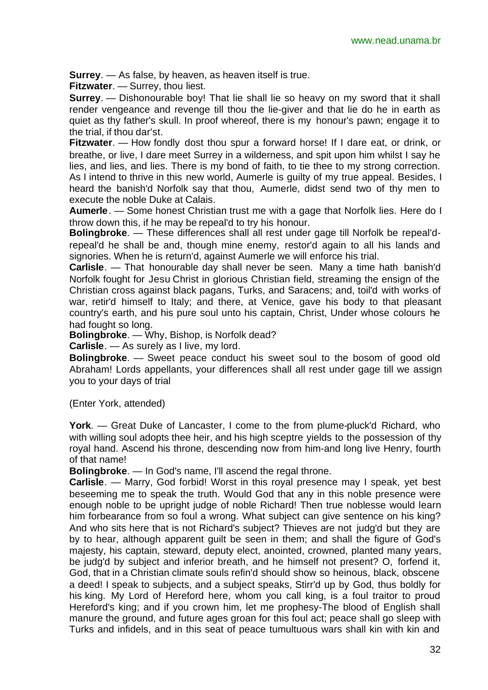**Surrey**. — As false, by heaven, as heaven itself is true.

**Fitzwater**. — Surrey, thou liest.

**Surrey**. — Dishonourable boy! That lie shall lie so heavy on my sword that it shall render vengeance and revenge till thou the lie-giver and that lie do he in earth as quiet as thy father's skull. In proof whereof, there is my honour's pawn; engage it to the trial, if thou dar'st.

**Fitzwater**. — How fondly dost thou spur a forward horse! If I dare eat, or drink, or breathe, or live, I dare meet Surrey in a wilderness, and spit upon him whilst I say he lies, and lies, and lies. There is my bond of faith, to tie thee to my strong correction. As I intend to thrive in this new world, Aumerle is guilty of my true appeal. Besides, I heard the banish'd Norfolk say that thou, Aumerle, didst send two of thy men to execute the noble Duke at Calais.

**Aumerle**. — Some honest Christian trust me with a gage that Norfolk lies. Here do I throw down this, if he may be repeal'd to try his honour.

**Bolingbroke**. — These differences shall all rest under gage till Norfolk be repeal'drepeal'd he shall be and, though mine enemy, restor'd again to all his lands and signories. When he is return'd, against Aumerle we will enforce his trial.

**Carlisle**. — That honourable day shall never be seen. Many a time hath banish'd Norfolk fought for Jesu Christ in glorious Christian field, streaming the ensign of the Christian cross against black pagans, Turks, and Saracens; and, toil'd with works of war, retir'd himself to Italy; and there, at Venice, gave his body to that pleasant country's earth, and his pure soul unto his captain, Christ, Under whose colours he had fought so long.

**Bolingbroke**. — Why, Bishop, is Norfolk dead?

**Carlisle**. — As surely as I live, my lord.

**Bolingbroke**. — Sweet peace conduct his sweet soul to the bosom of good old Abraham! Lords appellants, your differences shall all rest under gage till we assign you to your days of trial

(Enter York, attended)

**York**. — Great Duke of Lancaster, I come to the from plume-pluck'd Richard, who with willing soul adopts thee heir, and his high sceptre yields to the possession of thy royal hand. Ascend his throne, descending now from him-and long live Henry, fourth of that name!

**Bolingbroke**. — In God's name, I'll ascend the regal throne.

**Carlisle**. — Marry, God forbid! Worst in this royal presence may I speak, yet best beseeming me to speak the truth. Would God that any in this noble presence were enough noble to be upright judge of noble Richard! Then true noblesse would learn him forbearance from so foul a wrong. What subject can give sentence on his king? And who sits here that is not Richard's subject? Thieves are not judg'd but they are by to hear, although apparent guilt be seen in them; and shall the figure of God's majesty, his captain, steward, deputy elect, anointed, crowned, planted many years, be judg'd by subject and inferior breath, and he himself not present? O, forfend it, God, that in a Christian climate souls refin'd should show so heinous, black, obscene a deed! I speak to subjects, and a subject speaks, Stirr'd up by God, thus boldly for his king. My Lord of Hereford here, whom you call king, is a foul traitor to proud Hereford's king; and if you crown him, let me prophesy-The blood of English shall manure the ground, and future ages groan for this foul act; peace shall go sleep with Turks and infidels, and in this seat of peace tumultuous wars shall kin with kin and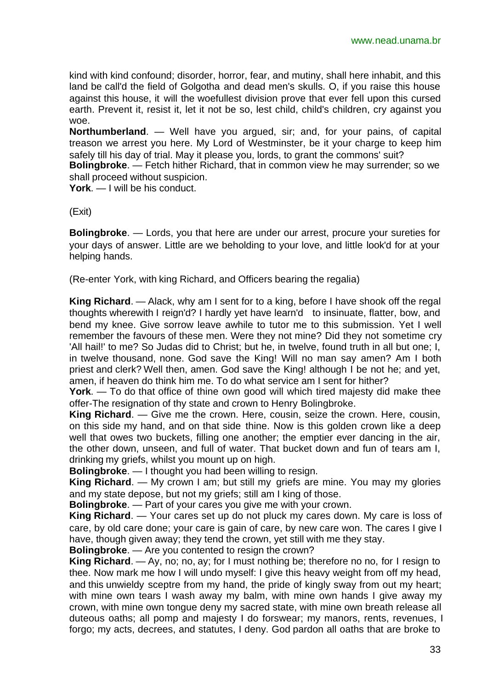kind with kind confound; disorder, horror, fear, and mutiny, shall here inhabit, and this land be call'd the field of Golgotha and dead men's skulls. O, if you raise this house against this house, it will the woefullest division prove that ever fell upon this cursed earth. Prevent it, resist it, let it not be so, lest child, child's children, cry against you woe.

**Northumberland**. — Well have you argued, sir; and, for your pains, of capital treason we arrest you here. My Lord of Westminster, be it your charge to keep him safely till his day of trial. May it please you, lords, to grant the commons' suit?

**Bolingbroke**. — Fetch hither Richard, that in common view he may surrender; so we shall proceed without suspicion.

**York**. — I will be his conduct.

(Exit)

**Bolingbroke**. — Lords, you that here are under our arrest, procure your sureties for your days of answer. Little are we beholding to your love, and little look'd for at your helping hands.

(Re-enter York, with king Richard, and Officers bearing the regalia)

**King Richard**. — Alack, why am I sent for to a king, before I have shook off the regal thoughts wherewith I reign'd? I hardly yet have learn'd to insinuate, flatter, bow, and bend my knee. Give sorrow leave awhile to tutor me to this submission. Yet I well remember the favours of these men. Were they not mine? Did they not sometime cry 'All hail!' to me? So Judas did to Christ; but he, in twelve, found truth in all but one; I, in twelve thousand, none. God save the King! Will no man say amen? Am I both priest and clerk? Well then, amen. God save the King! although I be not he; and yet, amen, if heaven do think him me. To do what service am I sent for hither?

**York**. — To do that office of thine own good will which tired majesty did make thee offer-The resignation of thy state and crown to Henry Bolingbroke.

**King Richard**. — Give me the crown. Here, cousin, seize the crown. Here, cousin, on this side my hand, and on that side thine. Now is this golden crown like a deep well that owes two buckets, filling one another; the emptier ever dancing in the air, the other down, unseen, and full of water. That bucket down and fun of tears am I, drinking my griefs, whilst you mount up on high.

**Bolingbroke**. — I thought you had been willing to resign.

**King Richard**. — My crown I am; but still my griefs are mine. You may my glories and my state depose, but not my griefs; still am I king of those.

**Bolingbroke**. — Part of your cares you give me with your crown.

**King Richard**. — Your cares set up do not pluck my cares down. My care is loss of care, by old care done; your care is gain of care, by new care won. The cares I give I have, though given away; they tend the crown, yet still with me they stay.

**Bolingbroke**. — Are you contented to resign the crown?

**King Richard**. — Ay, no; no, ay; for I must nothing be; therefore no no, for I resign to thee. Now mark me how I will undo myself: I give this heavy weight from off my head, and this unwieldy sceptre from my hand, the pride of kingly sway from out my heart; with mine own tears I wash away my balm, with mine own hands I give away my crown, with mine own tongue deny my sacred state, with mine own breath release all duteous oaths; all pomp and majesty I do forswear; my manors, rents, revenues, I forgo; my acts, decrees, and statutes, I deny. God pardon all oaths that are broke to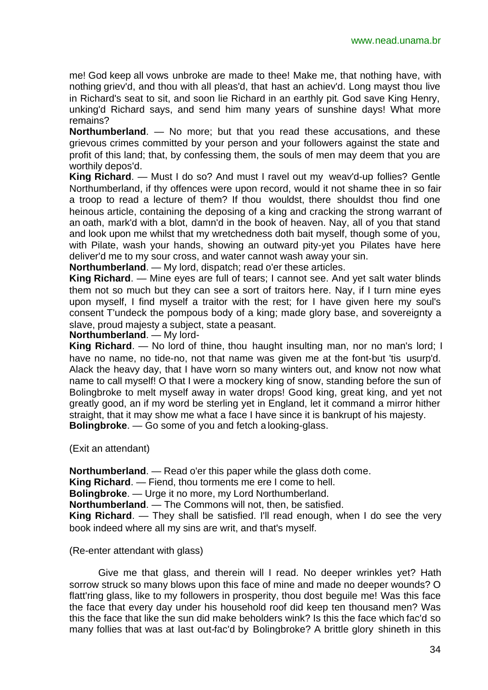me! God keep all vows unbroke are made to thee! Make me, that nothing have, with nothing griev'd, and thou with all pleas'd, that hast an achiev'd. Long mayst thou live in Richard's seat to sit, and soon lie Richard in an earthly pit. God save King Henry, unking'd Richard says, and send him many years of sunshine days! What more remains?

**Northumberland**. — No more; but that you read these accusations, and these grievous crimes committed by your person and your followers against the state and profit of this land; that, by confessing them, the souls of men may deem that you are worthily depos'd.

**King Richard**. — Must I do so? And must I ravel out my weav'd-up follies? Gentle Northumberland, if thy offences were upon record, would it not shame thee in so fair a troop to read a lecture of them? If thou wouldst, there shouldst thou find one heinous article, containing the deposing of a king and cracking the strong warrant of an oath, mark'd with a blot, damn'd in the book of heaven. Nay, all of you that stand and look upon me whilst that my wretchedness doth bait myself, though some of you, with Pilate, wash your hands, showing an outward pity-yet you Pilates have here deliver'd me to my sour cross, and water cannot wash away your sin.

**Northumberland**. — My lord, dispatch; read o'er these articles.

**King Richard**. — Mine eyes are full of tears; I cannot see. And yet salt water blinds them not so much but they can see a sort of traitors here. Nay, if I turn mine eyes upon myself, I find myself a traitor with the rest; for I have given here my soul's consent T'undeck the pompous body of a king; made glory base, and sovereignty a slave, proud majesty a subject, state a peasant.

**Northumberland**. — My lord-

**King Richard**. — No lord of thine, thou haught insulting man, nor no man's lord; I have no name, no tide-no, not that name was given me at the font-but 'tis usurp'd. Alack the heavy day, that I have worn so many winters out, and know not now what name to call myself! O that I were a mockery king of snow, standing before the sun of Bolingbroke to melt myself away in water drops! Good king, great king, and yet not greatly good, an if my word be sterling yet in England, let it command a mirror hither straight, that it may show me what a face I have since it is bankrupt of his majesty. **Bolingbroke**. — Go some of you and fetch a looking-glass.

(Exit an attendant)

**Northumberland**. — Read o'er this paper while the glass doth come.

**King Richard**. — Fiend, thou torments me ere I come to hell.

**Bolingbroke**. — Urge it no more, my Lord Northumberland.

**Northumberland**. — The Commons will not, then, be satisfied.

**King Richard**. — They shall be satisfied. I'll read enough, when I do see the very book indeed where all my sins are writ, and that's myself.

(Re-enter attendant with glass)

Give me that glass, and therein will I read. No deeper wrinkles yet? Hath sorrow struck so many blows upon this face of mine and made no deeper wounds? O flatt'ring glass, like to my followers in prosperity, thou dost beguile me! Was this face the face that every day under his household roof did keep ten thousand men? Was this the face that like the sun did make beholders wink? Is this the face which fac'd so many follies that was at last out-fac'd by Bolingbroke? A brittle glory shineth in this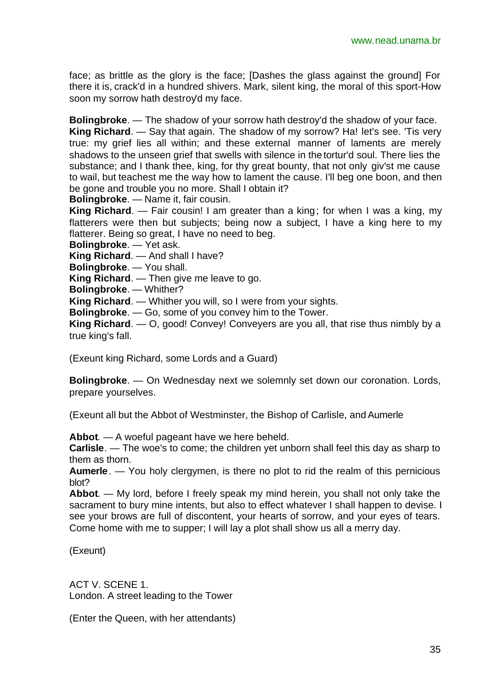face; as brittle as the glory is the face; [Dashes the glass against the ground] For there it is, crack'd in a hundred shivers. Mark, silent king, the moral of this sport-How soon my sorrow hath destroy'd my face.

**Bolingbroke**. — The shadow of your sorrow hath destroy'd the shadow of your face.

**King Richard**. — Say that again. The shadow of my sorrow? Ha! let's see. 'Tis very true: my grief lies all within; and these external manner of laments are merely shadows to the unseen grief that swells with silence in the tortur'd soul. There lies the substance; and I thank thee, king, for thy great bounty, that not only giv'st me cause to wail, but teachest me the way how to lament the cause. I'll beg one boon, and then be gone and trouble you no more. Shall I obtain it?

**Bolingbroke**. — Name it, fair cousin.

**King Richard**. — Fair cousin! I am greater than a king; for when I was a king, my flatterers were then but subjects; being now a subject, I have a king here to my flatterer. Being so great, I have no need to beg.

**Bolingbroke**. — Yet ask.

**King Richard**. — And shall I have?

**Bolingbroke**. — You shall.

**King Richard**. — Then give me leave to go.

**Bolingbroke**. — Whither?

**King Richard**. — Whither you will, so I were from your sights.

**Bolingbroke**. — Go, some of you convey him to the Tower.

**King Richard**. — O, good! Convey! Conveyers are you all, that rise thus nimbly by a true king's fall.

(Exeunt king Richard, some Lords and a Guard)

**Bolingbroke**. — On Wednesday next we solemnly set down our coronation. Lords, prepare yourselves.

(Exeunt all but the Abbot of Westminster, the Bishop of Carlisle, and Aumerle

**Abbot**. — A woeful pageant have we here beheld.

**Carlisle**. — The woe's to come; the children yet unborn shall feel this day as sharp to them as thorn.

**Aumerle**. — You holy clergymen, is there no plot to rid the realm of this pernicious blot?

**Abbot**. — My lord, before I freely speak my mind herein, you shall not only take the sacrament to bury mine intents, but also to effect whatever I shall happen to devise. I see your brows are full of discontent, your hearts of sorrow, and your eyes of tears. Come home with me to supper; I will lay a plot shall show us all a merry day.

(Exeunt)

ACT V. SCENE 1. London. A street leading to the Tower

(Enter the Queen, with her attendants)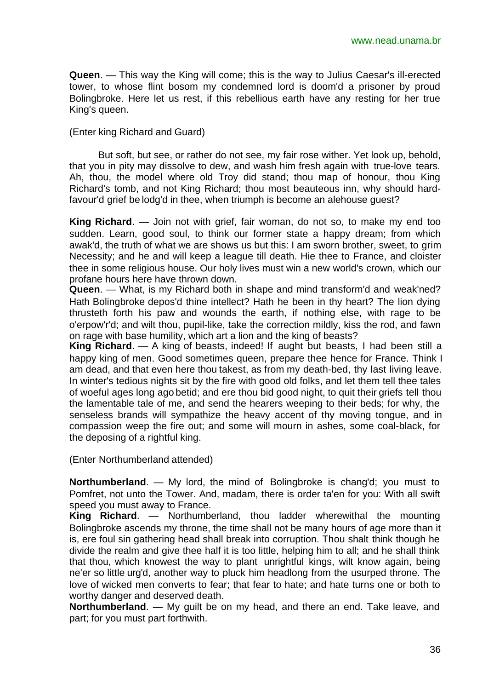**Queen**. — This way the King will come; this is the way to Julius Caesar's ill-erected tower, to whose flint bosom my condemned lord is doom'd a prisoner by proud Bolingbroke. Here let us rest, if this rebellious earth have any resting for her true King's queen.

#### (Enter king Richard and Guard)

But soft, but see, or rather do not see, my fair rose wither. Yet look up, behold, that you in pity may dissolve to dew, and wash him fresh again with true-love tears. Ah, thou, the model where old Troy did stand; thou map of honour, thou King Richard's tomb, and not King Richard; thou most beauteous inn, why should hardfavour'd grief be lodg'd in thee, when triumph is become an alehouse guest?

**King Richard**. — Join not with grief, fair woman, do not so, to make my end too sudden. Learn, good soul, to think our former state a happy dream; from which awak'd, the truth of what we are shows us but this: I am sworn brother, sweet, to grim Necessity; and he and will keep a league till death. Hie thee to France, and cloister thee in some religious house. Our holy lives must win a new world's crown, which our profane hours here have thrown down.

**Queen**. — What, is my Richard both in shape and mind transform'd and weak'ned? Hath Bolingbroke depos'd thine intellect? Hath he been in thy heart? The lion dying thrusteth forth his paw and wounds the earth, if nothing else, with rage to be o'erpow'r'd; and wilt thou, pupil-like, take the correction mildly, kiss the rod, and fawn on rage with base humility, which art a lion and the king of beasts?

**King Richard**. — A king of beasts, indeed! If aught but beasts, I had been still a happy king of men. Good sometimes queen, prepare thee hence for France. Think I am dead, and that even here thou takest, as from my death-bed, thy last living leave. In winter's tedious nights sit by the fire with good old folks, and let them tell thee tales of woeful ages long ago betid; and ere thou bid good night, to quit their griefs tell thou the lamentable tale of me, and send the hearers weeping to their beds; for why, the senseless brands will sympathize the heavy accent of thy moving tongue, and in compassion weep the fire out; and some will mourn in ashes, some coal-black, for the deposing of a rightful king.

(Enter Northumberland attended)

**Northumberland**. — My lord, the mind of Bolingbroke is chang'd; you must to Pomfret, not unto the Tower. And, madam, there is order ta'en for you: With all swift speed you must away to France.

**King Richard**. — Northumberland, thou ladder wherewithal the mounting Bolingbroke ascends my throne, the time shall not be many hours of age more than it is, ere foul sin gathering head shall break into corruption. Thou shalt think though he divide the realm and give thee half it is too little, helping him to all; and he shall think that thou, which knowest the way to plant unrightful kings, wilt know again, being ne'er so little urg'd, another way to pluck him headlong from the usurped throne. The love of wicked men converts to fear; that fear to hate; and hate turns one or both to worthy danger and deserved death.

**Northumberland**. — My guilt be on my head, and there an end. Take leave, and part; for you must part forthwith.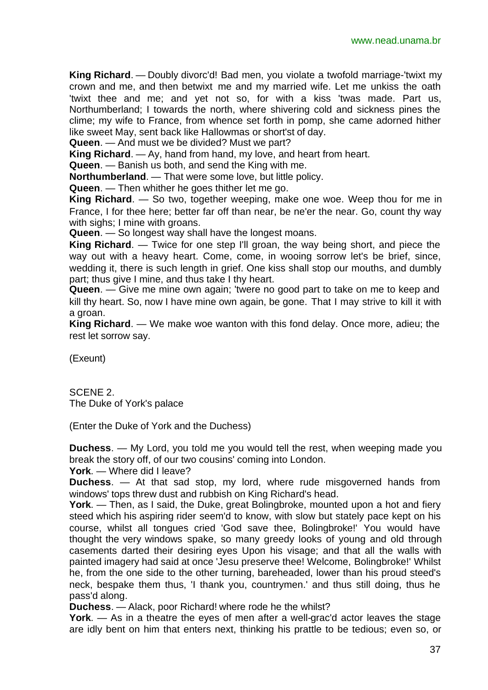**King Richard**. — Doubly divorc'd! Bad men, you violate a twofold marriage-'twixt my crown and me, and then betwixt me and my married wife. Let me unkiss the oath 'twixt thee and me; and yet not so, for with a kiss 'twas made. Part us, Northumberland; I towards the north, where shivering cold and sickness pines the clime; my wife to France, from whence set forth in pomp, she came adorned hither like sweet May, sent back like Hallowmas or short'st of day.

**Queen**. — And must we be divided? Must we part?

**King Richard**. — Ay, hand from hand, my love, and heart from heart.

**Queen**. — Banish us both, and send the King with me.

**Northumberland**. — That were some love, but little policy.

**Queen**. — Then whither he goes thither let me go.

**King Richard**. — So two, together weeping, make one woe. Weep thou for me in France, I for thee here; better far off than near, be ne'er the near. Go, count thy way with sighs: I mine with groans.

**Queen**. — So longest way shall have the longest moans.

**King Richard**. — Twice for one step I'll groan, the way being short, and piece the way out with a heavy heart. Come, come, in wooing sorrow let's be brief, since, wedding it, there is such length in grief. One kiss shall stop our mouths, and dumbly part; thus give I mine, and thus take I thy heart.

**Queen**. — Give me mine own again; 'twere no good part to take on me to keep and kill thy heart. So, now I have mine own again, be gone. That I may strive to kill it with a groan.

**King Richard**. — We make woe wanton with this fond delay. Once more, adieu; the rest let sorrow say.

(Exeunt)

SCENE 2. The Duke of York's palace

(Enter the Duke of York and the Duchess)

**Duchess**. — My Lord, you told me you would tell the rest, when weeping made you break the story off, of our two cousins' coming into London.

**York**. — Where did I leave?

**Duchess**. — At that sad stop, my lord, where rude misgoverned hands from windows' tops threw dust and rubbish on King Richard's head.

**York**. — Then, as I said, the Duke, great Bolingbroke, mounted upon a hot and fiery steed which his aspiring rider seem'd to know, with slow but stately pace kept on his course, whilst all tongues cried 'God save thee, Bolingbroke!' You would have thought the very windows spake, so many greedy looks of young and old through casements darted their desiring eyes Upon his visage; and that all the walls with painted imagery had said at once 'Jesu preserve thee! Welcome, Bolingbroke!' Whilst he, from the one side to the other turning, bareheaded, lower than his proud steed's neck, bespake them thus, 'I thank you, countrymen.' and thus still doing, thus he pass'd along.

**Duchess**. — Alack, poor Richard! where rode he the whilst?

**York**. — As in a theatre the eyes of men after a well-grac'd actor leaves the stage are idly bent on him that enters next, thinking his prattle to be tedious; even so, or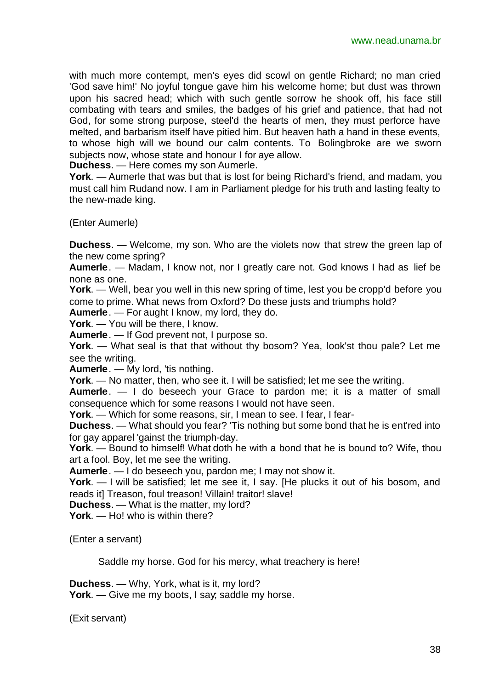with much more contempt, men's eyes did scowl on gentle Richard; no man cried 'God save him!' No joyful tongue gave him his welcome home; but dust was thrown upon his sacred head; which with such gentle sorrow he shook off, his face still combating with tears and smiles, the badges of his grief and patience, that had not God, for some strong purpose, steel'd the hearts of men, they must perforce have melted, and barbarism itself have pitied him. But heaven hath a hand in these events, to whose high will we bound our calm contents. To Bolingbroke are we sworn subjects now, whose state and honour I for aye allow.

**Duchess**. — Here comes my son Aumerle.

**York**. — Aumerle that was but that is lost for being Richard's friend, and madam, you must call him Rudand now. I am in Parliament pledge for his truth and lasting fealty to the new-made king.

(Enter Aumerle)

**Duchess**. — Welcome, my son. Who are the violets now that strew the green lap of the new come spring?

**Aumerle**. — Madam, I know not, nor I greatly care not. God knows I had as lief be none as one.

**York**. — Well, bear you well in this new spring of time, lest you be cropp'd before you come to prime. What news from Oxford? Do these justs and triumphs hold?

**Aumerle**. — For aught I know, my lord, they do.

**York**. — You will be there, I know.

**Aumerle**. — If God prevent not, I purpose so.

**York**. — What seal is that that without thy bosom? Yea, look'st thou pale? Let me see the writing.

**Aumerle**. — My lord, 'tis nothing.

**York**. — No matter, then, who see it. I will be satisfied; let me see the writing.

**Aumerle**. — I do beseech your Grace to pardon me; it is a matter of small consequence which for some reasons I would not have seen.

**York**. — Which for some reasons, sir, I mean to see. I fear, I fear-

**Duchess**. — What should you fear? 'Tis nothing but some bond that he is ent'red into for gay apparel 'gainst the triumph-day.

**York**. — Bound to himself! What doth he with a bond that he is bound to? Wife, thou art a fool. Boy, let me see the writing.

**Aumerle**. — I do beseech you, pardon me; I may not show it.

**York**. — I will be satisfied; let me see it, I say. [He plucks it out of his bosom, and reads it] Treason, foul treason! Villain! traitor! slave!

**Duchess**. — What is the matter, my lord?

**York**. — Ho! who is within there?

(Enter a servant)

Saddle my horse. God for his mercy, what treachery is here!

**Duchess**. — Why, York, what is it, my lord?

**York**. — Give me my boots, I say; saddle my horse.

(Exit servant)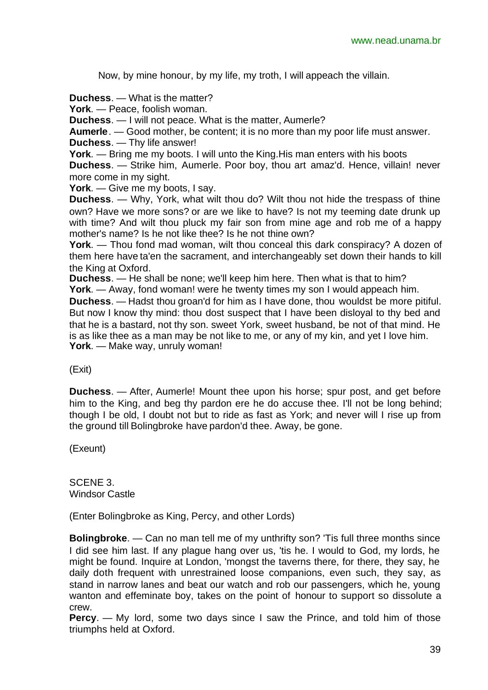Now, by mine honour, by my life, my troth, I will appeach the villain.

**Duchess**. — What is the matter?

**York**. — Peace, foolish woman.

**Duchess**. — I will not peace. What is the matter, Aumerle?

**Aumerle**. — Good mother, be content; it is no more than my poor life must answer. **Duchess**. — Thy life answer!

**York**. — Bring me my boots. I will unto the King.His man enters with his boots

**Duchess**. — Strike him, Aumerle. Poor boy, thou art amaz'd. Hence, villain! never more come in my sight.

**York**. — Give me my boots, I say.

**Duchess**. — Why, York, what wilt thou do? Wilt thou not hide the trespass of thine own? Have we more sons? or are we like to have? Is not my teeming date drunk up with time? And wilt thou pluck my fair son from mine age and rob me of a happy mother's name? Is he not like thee? Is he not thine own?

**York**. — Thou fond mad woman, wilt thou conceal this dark conspiracy? A dozen of them here have ta'en the sacrament, and interchangeably set down their hands to kill the King at Oxford.

**Duchess**. — He shall be none; we'll keep him here. Then what is that to him?

**York**. — Away, fond woman! were he twenty times my son I would appeach him.

**Duchess**. — Hadst thou groan'd for him as I have done, thou wouldst be more pitiful. But now I know thy mind: thou dost suspect that I have been disloyal to thy bed and that he is a bastard, not thy son. sweet York, sweet husband, be not of that mind. He is as like thee as a man may be not like to me, or any of my kin, and yet I love him. **York**. — Make way, unruly woman!

#### (Exit)

**Duchess**. — After, Aumerle! Mount thee upon his horse; spur post, and get before him to the King, and beg thy pardon ere he do accuse thee. I'll not be long behind; though I be old, I doubt not but to ride as fast as York; and never will I rise up from the ground till Bolingbroke have pardon'd thee. Away, be gone.

(Exeunt)

SCENE 3. Windsor Castle

(Enter Bolingbroke as King, Percy, and other Lords)

**Bolingbroke**. — Can no man tell me of my unthrifty son? 'Tis full three months since I did see him last. If any plague hang over us, 'tis he. I would to God, my lords, he might be found. Inquire at London, 'mongst the taverns there, for there, they say, he daily doth frequent with unrestrained loose companions, even such, they say, as stand in narrow lanes and beat our watch and rob our passengers, which he, young wanton and effeminate boy, takes on the point of honour to support so dissolute a crew.

**Percy**. — My lord, some two days since I saw the Prince, and told him of those triumphs held at Oxford.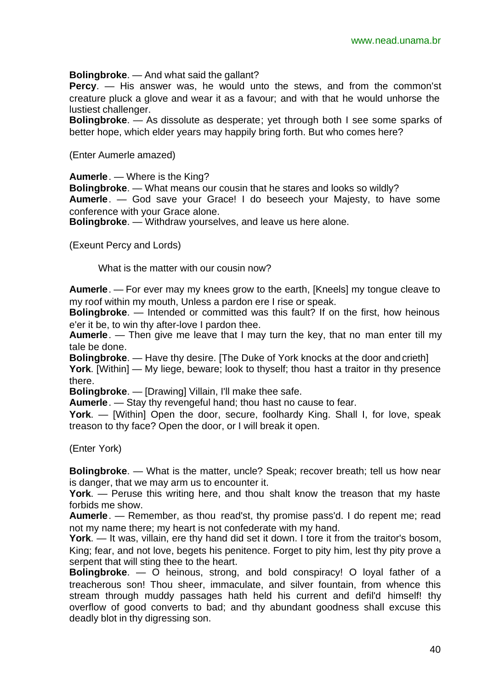**Bolingbroke**. — And what said the gallant?

**Percy**. — His answer was, he would unto the stews, and from the common'st creature pluck a glove and wear it as a favour; and with that he would unhorse the lustiest challenger.

**Bolingbroke**. — As dissolute as desperate; yet through both I see some sparks of better hope, which elder years may happily bring forth. But who comes here?

(Enter Aumerle amazed)

**Aumerle**. — Where is the King?

**Bolingbroke**. — What means our cousin that he stares and looks so wildly? **Aumerle**. — God save your Grace! I do beseech your Majesty, to have some conference with your Grace alone.

**Bolingbroke**. — Withdraw yourselves, and leave us here alone.

(Exeunt Percy and Lords)

What is the matter with our cousin now?

**Aumerle**. — For ever may my knees grow to the earth, [Kneels] my tongue cleave to my roof within my mouth, Unless a pardon ere I rise or speak.

**Bolingbroke**. — Intended or committed was this fault? If on the first, how heinous e'er it be, to win thy after-love I pardon thee.

**Aumerle**. — Then give me leave that I may turn the key, that no man enter till my tale be done.

**Bolingbroke**. — Have thy desire. [The Duke of York knocks at the door and crieth]

**York**. [Within] — My liege, beware; look to thyself; thou hast a traitor in thy presence there.

**Bolingbroke**. — [Drawing] Villain, I'll make thee safe.

**Aumerle**. — Stay thy revengeful hand; thou hast no cause to fear.

**York**. — [Within] Open the door, secure, foolhardy King. Shall I, for love, speak treason to thy face? Open the door, or I will break it open.

(Enter York)

**Bolingbroke**. — What is the matter, uncle? Speak; recover breath; tell us how near is danger, that we may arm us to encounter it.

**York**. — Peruse this writing here, and thou shalt know the treason that my haste forbids me show.

**Aumerle**. — Remember, as thou read'st, thy promise pass'd. I do repent me; read not my name there; my heart is not confederate with my hand.

**York**. — It was, villain, ere thy hand did set it down. I tore it from the traitor's bosom, King; fear, and not love, begets his penitence. Forget to pity him, lest thy pity prove a serpent that will sting thee to the heart.

**Bolingbroke**. — O heinous, strong, and bold conspiracy! O loyal father of a treacherous son! Thou sheer, immaculate, and silver fountain, from whence this stream through muddy passages hath held his current and defil'd himself! thy overflow of good converts to bad; and thy abundant goodness shall excuse this deadly blot in thy digressing son.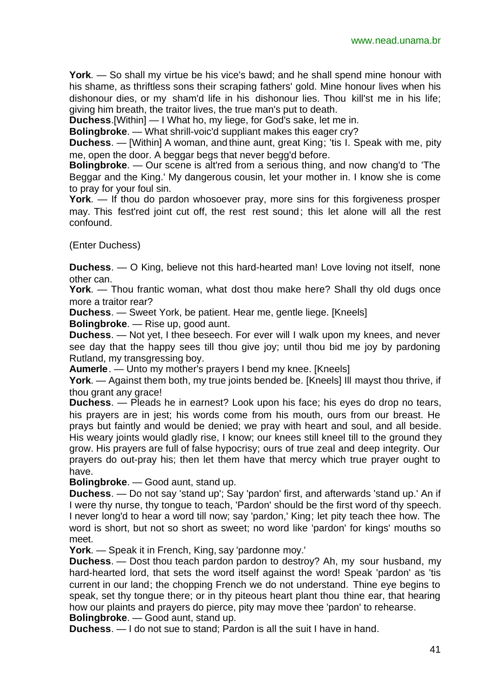**York**. — So shall my virtue be his vice's bawd; and he shall spend mine honour with his shame, as thriftless sons their scraping fathers' gold. Mine honour lives when his dishonour dies, or my sham'd life in his dishonour lies. Thou kill'st me in his life; giving him breath, the traitor lives, the true man's put to death.

**Duchess**.[Within] — I What ho, my liege, for God's sake, let me in.

**Bolingbroke**. — What shrill-voic'd suppliant makes this eager cry?

**Duchess**. — [Within] A woman, and thine aunt, great King; 'tis I. Speak with me, pity me, open the door. A beggar begs that never begg'd before.

**Bolingbroke**. — Our scene is alt'red from a serious thing, and now chang'd to 'The Beggar and the King.' My dangerous cousin, let your mother in. I know she is come to pray for your foul sin.

**York**. — If thou do pardon whosoever pray, more sins for this forgiveness prosper may. This fest'red joint cut off, the rest rest sound; this let alone will all the rest confound.

(Enter Duchess)

**Duchess**. — O King, believe not this hard-hearted man! Love loving not itself, none other can.

**York**. — Thou frantic woman, what dost thou make here? Shall thy old dugs once more a traitor rear?

**Duchess**. — Sweet York, be patient. Hear me, gentle liege. [Kneels]

**Bolingbroke**. — Rise up, good aunt.

**Duchess**. — Not yet, I thee beseech. For ever will I walk upon my knees, and never see day that the happy sees till thou give joy; until thou bid me joy by pardoning Rutland, my transgressing boy.

**Aumerle**. — Unto my mother's prayers I bend my knee. [Kneels]

**York**. — Against them both, my true joints bended be. [Kneels] Ill mayst thou thrive, if thou grant any grace!

**Duchess**. — Pleads he in earnest? Look upon his face; his eyes do drop no tears, his prayers are in jest; his words come from his mouth, ours from our breast. He prays but faintly and would be denied; we pray with heart and soul, and all beside. His weary joints would gladly rise, I know; our knees still kneel till to the ground they grow. His prayers are full of false hypocrisy; ours of true zeal and deep integrity. Our prayers do out-pray his; then let them have that mercy which true prayer ought to have.

**Bolingbroke**. — Good aunt, stand up.

**Duchess**. — Do not say 'stand up'; Say 'pardon' first, and afterwards 'stand up.' An if I were thy nurse, thy tongue to teach, 'Pardon' should be the first word of thy speech. I never long'd to hear a word till now; say 'pardon,' King; let pity teach thee how. The word is short, but not so short as sweet; no word like 'pardon' for kings' mouths so meet.

**York**. — Speak it in French, King, say 'pardonne moy.'

**Duchess**. — Dost thou teach pardon pardon to destroy? Ah, my sour husband, my hard-hearted lord, that sets the word itself against the word! Speak 'pardon' as 'tis current in our land; the chopping French we do not understand. Thine eve begins to speak, set thy tongue there; or in thy piteous heart plant thou thine ear, that hearing how our plaints and prayers do pierce, pity may move thee 'pardon' to rehearse. **Bolingbroke**. — Good aunt, stand up.

**Duchess**. — I do not sue to stand; Pardon is all the suit I have in hand.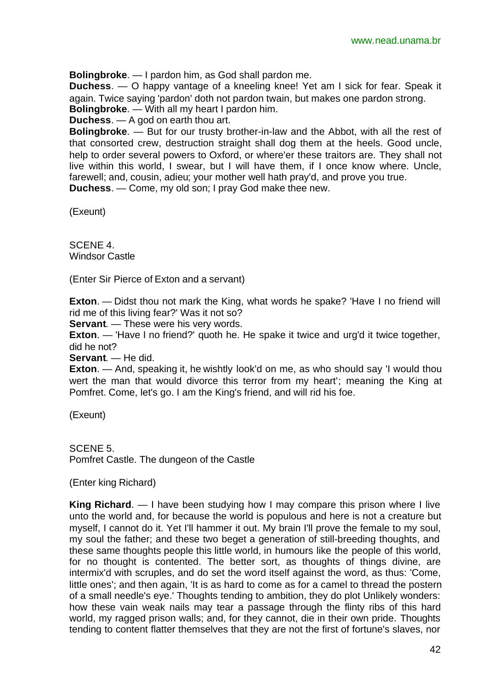**Bolingbroke**. — I pardon him, as God shall pardon me.

**Duchess**. — O happy vantage of a kneeling knee! Yet am I sick for fear. Speak it again. Twice saying 'pardon' doth not pardon twain, but makes one pardon strong. **Bolingbroke**. — With all my heart I pardon him.

**Duchess**. — A god on earth thou art.

**Bolingbroke**. — But for our trusty brother-in-law and the Abbot, with all the rest of that consorted crew, destruction straight shall dog them at the heels. Good uncle, help to order several powers to Oxford, or where'er these traitors are. They shall not live within this world, I swear, but I will have them, if I once know where. Uncle, farewell; and, cousin, adieu; your mother well hath pray'd, and prove you true. **Duchess**. — Come, my old son; I pray God make thee new.

(Exeunt)

SCENE 4. Windsor Castle

(Enter Sir Pierce of Exton and a servant)

**Exton**. — Didst thou not mark the King, what words he spake? 'Have I no friend will rid me of this living fear?' Was it not so?

**Servant**. — These were his very words.

**Exton.** — 'Have I no friend?' quoth he. He spake it twice and urg'd it twice together, did he not?

**Servant**. — He did.

**Exton.** — And, speaking it, he wishtly look'd on me, as who should say 'I would thou wert the man that would divorce this terror from my heart'; meaning the King at Pomfret. Come, let's go. I am the King's friend, and will rid his foe.

(Exeunt)

SCENE 5. Pomfret Castle. The dungeon of the Castle

(Enter king Richard)

**King Richard**. — I have been studying how I may compare this prison where I live unto the world and, for because the world is populous and here is not a creature but myself, I cannot do it. Yet I'll hammer it out. My brain I'll prove the female to my soul, my soul the father; and these two beget a generation of still-breeding thoughts, and these same thoughts people this little world, in humours like the people of this world, for no thought is contented. The better sort, as thoughts of things divine, are intermix'd with scruples, and do set the word itself against the word, as thus: 'Come, little ones'; and then again, 'It is as hard to come as for a camel to thread the postern of a small needle's eye.' Thoughts tending to ambition, they do plot Unlikely wonders: how these vain weak nails may tear a passage through the flinty ribs of this hard world, my ragged prison walls; and, for they cannot, die in their own pride. Thoughts tending to content flatter themselves that they are not the first of fortune's slaves, nor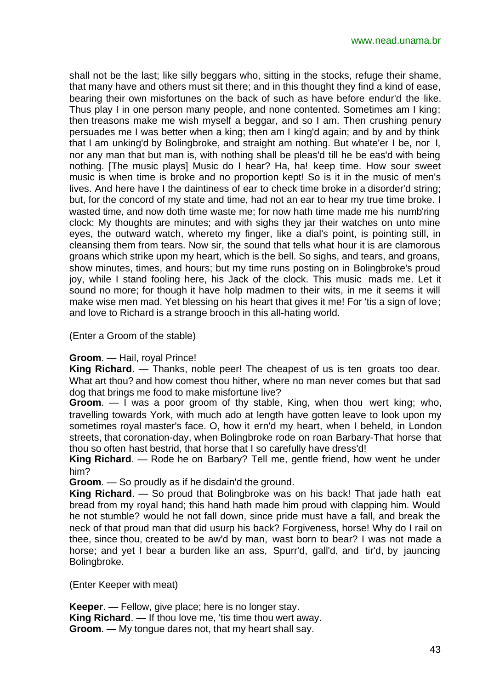shall not be the last; like silly beggars who, sitting in the stocks, refuge their shame, that many have and others must sit there; and in this thought they find a kind of ease, bearing their own misfortunes on the back of such as have before endur'd the like. Thus play I in one person many people, and none contented. Sometimes am I king; then treasons make me wish myself a beggar, and so I am. Then crushing penury persuades me I was better when a king; then am I king'd again; and by and by think that I am unking'd by Bolingbroke, and straight am nothing. But whate'er I be, nor I, nor any man that but man is, with nothing shall be pleas'd till he be eas'd with being nothing. [The music plays] Music do I hear? Ha, ha! keep time. How sour sweet music is when time is broke and no proportion kept! So is it in the music of men's lives. And here have I the daintiness of ear to check time broke in a disorder'd string; but, for the concord of my state and time, had not an ear to hear my true time broke. I wasted time, and now doth time waste me; for now hath time made me his numb'ring clock: My thoughts are minutes; and with sighs they jar their watches on unto mine eyes, the outward watch, whereto my finger, like a dial's point, is pointing still, in cleansing them from tears. Now sir, the sound that tells what hour it is are clamorous groans which strike upon my heart, which is the bell. So sighs, and tears, and groans, show minutes, times, and hours; but my time runs posting on in Bolingbroke's proud joy, while I stand fooling here, his Jack of the clock. This music mads me. Let it sound no more; for though it have holp madmen to their wits, in me it seems it will make wise men mad. Yet blessing on his heart that gives it me! For 'tis a sign of love; and love to Richard is a strange brooch in this all-hating world.

(Enter a Groom of the stable)

#### **Groom**. — Hail, royal Prince!

**King Richard**. — Thanks, noble peer! The cheapest of us is ten groats too dear. What art thou? and how comest thou hither, where no man never comes but that sad dog that brings me food to make misfortune live?

**Groom.** — I was a poor groom of thy stable, King, when thou wert king; who, travelling towards York, with much ado at length have gotten leave to look upon my sometimes royal master's face. O, how it ern'd my heart, when I beheld, in London streets, that coronation-day, when Bolingbroke rode on roan Barbary-That horse that thou so often hast bestrid, that horse that I so carefully have dress'd!

**King Richard**. — Rode he on Barbary? Tell me, gentle friend, how went he under him?

**Groom**. — So proudly as if he disdain'd the ground.

**King Richard**. — So proud that Bolingbroke was on his back! That jade hath eat bread from my royal hand; this hand hath made him proud with clapping him. Would he not stumble? would he not fall down, since pride must have a fall, and break the neck of that proud man that did usurp his back? Forgiveness, horse! Why do I rail on thee, since thou, created to be aw'd by man, wast born to bear? I was not made a horse; and yet I bear a burden like an ass, Spurr'd, gall'd, and tir'd, by jauncing Bolingbroke.

(Enter Keeper with meat)

**Keeper**. — Fellow, give place; here is no longer stay. **King Richard.** — If thou love me, 'tis time thou wert away. **Groom**. — My tongue dares not, that my heart shall say.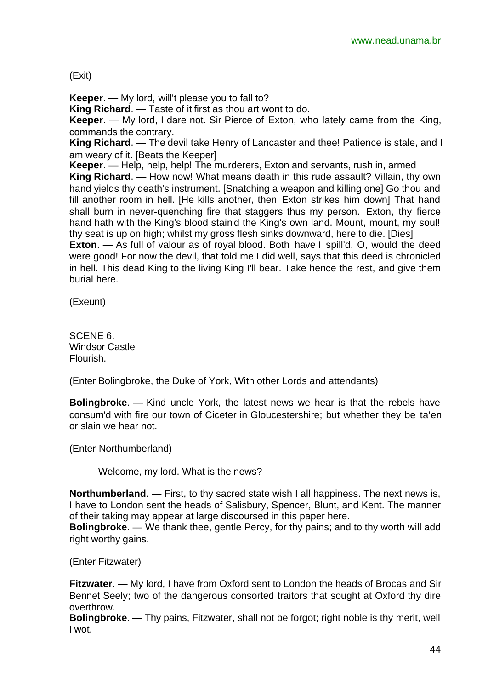#### (Exit)

**Keeper**. — My lord, will't please you to fall to?

**King Richard**. — Taste of it first as thou art wont to do.

**Keeper**. — My lord, I dare not. Sir Pierce of Exton, who lately came from the King, commands the contrary.

**King Richard**. — The devil take Henry of Lancaster and thee! Patience is stale, and I am weary of it. [Beats the Keeper]

**Keeper.** — Help, help, help! The murderers, Exton and servants, rush in, armed

**King Richard**. — How now! What means death in this rude assault? Villain, thy own hand yields thy death's instrument. [Snatching a weapon and killing one] Go thou and fill another room in hell. [He kills another, then Exton strikes him down] That hand shall burn in never-quenching fire that staggers thus my person. Exton, thy fierce hand hath with the King's blood stain'd the King's own land. Mount, mount, my soul! thy seat is up on high; whilst my gross flesh sinks downward, here to die. [Dies]

**Exton.** — As full of valour as of royal blood. Both have I spill'd. O, would the deed were good! For now the devil, that told me I did well, says that this deed is chronicled in hell. This dead King to the living King I'll bear. Take hence the rest, and give them burial here.

(Exeunt)

SCENE 6. Windsor Castle Flourish.

(Enter Bolingbroke, the Duke of York, With other Lords and attendants)

**Bolingbroke**. — Kind uncle York, the latest news we hear is that the rebels have consum'd with fire our town of Ciceter in Gloucestershire; but whether they be ta'en or slain we hear not.

(Enter Northumberland)

Welcome, my lord. What is the news?

**Northumberland**. — First, to thy sacred state wish I all happiness. The next news is, I have to London sent the heads of Salisbury, Spencer, Blunt, and Kent. The manner of their taking may appear at large discoursed in this paper here.

**Bolingbroke**. — We thank thee, gentle Percy, for thy pains; and to thy worth will add right worthy gains.

(Enter Fitzwater)

**Fitzwater**. — My lord, I have from Oxford sent to London the heads of Brocas and Sir Bennet Seely; two of the dangerous consorted traitors that sought at Oxford thy dire overthrow.

**Bolingbroke**. — Thy pains, Fitzwater, shall not be forgot; right noble is thy merit, well I wot.